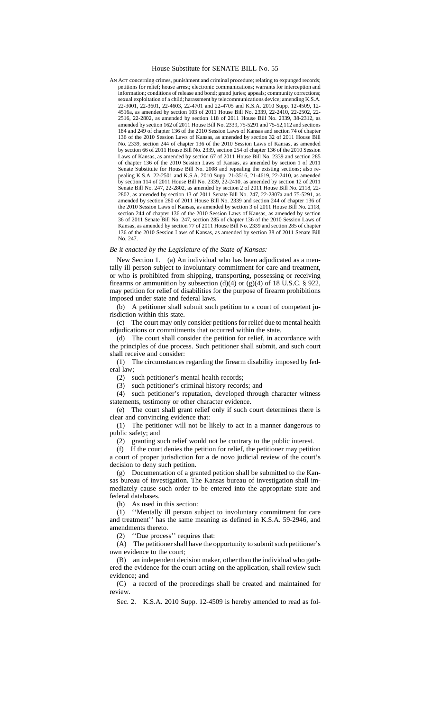#### House Substitute for SENATE BILL No. 55

AN ACT concerning crimes, punishment and criminal procedure; relating to expunged records; petitions for relief; house arrest; electronic communications; warrants for interception and information; conditions of release and bond; grand juries; appeals; community corrections; sexual exploitation of a child; harassment by telecommunications device; amending K.S.A. 22-3001, 22-3601, 22-4603, 22-4701 and 22-4705 and K.S.A. 2010 Supp. 12-4509, 12- 4516a, as amended by section 103 of 2011 House Bill No. 2339, 22-2410, 22-2502, 22- 2516, 22-2802, as amended by section 118 of 2011 House Bill No. 2339, 38-2312, as amended by section 162 of 2011 House Bill No. 2339, 75-5291 and 75-52,112 and sections 184 and 249 of chapter 136 of the 2010 Session Laws of Kansas and section 74 of chapter 136 of the 2010 Session Laws of Kansas, as amended by section 32 of 2011 House Bill No. 2339, section 244 of chapter 136 of the 2010 Session Laws of Kansas, as amended by section 66 of 2011 House Bill No. 2339, section 254 of chapter 136 of the 2010 Session Laws of Kansas, as amended by section 67 of 2011 House Bill No. 2339 and section 285 of chapter 136 of the 2010 Session Laws of Kansas, as amended by section 1 of 2011 Senate Substitute for House Bill No. 2008 and repealing the existing sections; also repealing K.S.A. 22-2501 and K.S.A. 2010 Supp. 21-3516, 21-4619, 22-2410, as amended by section 114 of 2011 House Bill No. 2339, 22-2410, as amended by section 12 of 2011 Senate Bill No. 247, 22-2802, as amended by section 2 of 2011 House Bill No. 2118, 22- 2802, as amended by section 13 of 2011 Senate Bill No. 247, 22-2807a and 75-5291, as amended by section 280 of 2011 House Bill No. 2339 and section 244 of chapter 136 of the 2010 Session Laws of Kansas, as amended by section 3 of 2011 House Bill No. 2118, section 244 of chapter 136 of the 2010 Session Laws of Kansas, as amended by section 36 of 2011 Senate Bill No. 247, section 285 of chapter 136 of the 2010 Session Laws of Kansas, as amended by section 77 of 2011 House Bill No. 2339 and section 285 of chapter 136 of the 2010 Session Laws of Kansas, as amended by section 38 of 2011 Senate Bill No. 247.

#### *Be it enacted by the Legislature of the State of Kansas:*

New Section 1. (a) An individual who has been adjudicated as a mentally ill person subject to involuntary commitment for care and treatment, or who is prohibited from shipping, transporting, possessing or receiving firearms or ammunition by subsection (d)(4) or (g)(4) of 18 U.S.C. § 922, may petition for relief of disabilities for the purpose of firearm prohibitions imposed under state and federal laws.

(b) A petitioner shall submit such petition to a court of competent jurisdiction within this state.

(c) The court may only consider petitions for relief due to mental health adjudications or commitments that occurred within the state.

(d) The court shall consider the petition for relief, in accordance with the principles of due process. Such petitioner shall submit, and such court shall receive and consider:

(1) The circumstances regarding the firearm disability imposed by federal law;

(2) such petitioner's mental health records;

(3) such petitioner's criminal history records; and

(4) such petitioner's reputation, developed through character witness statements, testimony or other character evidence.

(e) The court shall grant relief only if such court determines there is clear and convincing evidence that:

(1) The petitioner will not be likely to act in a manner dangerous to public safety; and

(2) granting such relief would not be contrary to the public interest.

(f) If the court denies the petition for relief, the petitioner may petition a court of proper jurisdiction for a de novo judicial review of the court's decision to deny such petition.

(g) Documentation of a granted petition shall be submitted to the Kansas bureau of investigation. The Kansas bureau of investigation shall immediately cause such order to be entered into the appropriate state and federal databases.

(h) As used in this section:

(1) ''Mentally ill person subject to involuntary commitment for care and treatment'' has the same meaning as defined in K.S.A. 59-2946, and amendments thereto.

(2) ''Due process'' requires that:

(A) The petitioner shall have the opportunity to submit such petitioner's own evidence to the court;

(B) an independent decision maker, other than the individual who gathered the evidence for the court acting on the application, shall review such evidence; and

(C) a record of the proceedings shall be created and maintained for review.

Sec. 2. K.S.A. 2010 Supp. 12-4509 is hereby amended to read as fol-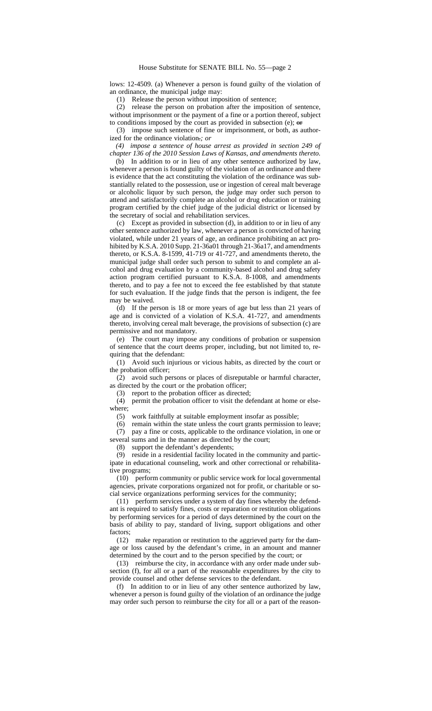lows: 12-4509. (a) Whenever a person is found guilty of the violation of an ordinance, the municipal judge may:

(1) Release the person without imposition of sentence;

(2) release the person on probation after the imposition of sentence, without imprisonment or the payment of a fine or a portion thereof, subject to conditions imposed by the court as provided in subsection (e);  $\theta$ 

(3) impose such sentence of fine or imprisonment, or both, as authorized for the ordinance violation.*; or*

*(4) impose a sentence of house arrest as provided in section 249 of chapter 136 of the 2010 Session Laws of Kansas, and amendments thereto.*

(b) In addition to or in lieu of any other sentence authorized by law, whenever a person is found guilty of the violation of an ordinance and there is evidence that the act constituting the violation of the ordinance was substantially related to the possession, use or ingestion of cereal malt beverage or alcoholic liquor by such person, the judge may order such person to attend and satisfactorily complete an alcohol or drug education or training program certified by the chief judge of the judicial district or licensed by the secretary of social and rehabilitation services.

(c) Except as provided in subsection (d), in addition to or in lieu of any other sentence authorized by law, whenever a person is convicted of having violated, while under 21 years of age, an ordinance prohibiting an act prohibited by K.S.A. 2010 Supp. 21-36a01 through 21-36a17, and amendments thereto, or K.S.A. 8-1599, 41-719 or 41-727, and amendments thereto, the municipal judge shall order such person to submit to and complete an alcohol and drug evaluation by a community-based alcohol and drug safety action program certified pursuant to K.S.A. 8-1008, and amendments thereto, and to pay a fee not to exceed the fee established by that statute for such evaluation. If the judge finds that the person is indigent, the fee may be waived.

(d) If the person is 18 or more years of age but less than 21 years of age and is convicted of a violation of K.S.A. 41-727, and amendments thereto, involving cereal malt beverage, the provisions of subsection (c) are permissive and not mandatory.

(e) The court may impose any conditions of probation or suspension of sentence that the court deems proper, including, but not limited to, requiring that the defendant:

(1) Avoid such injurious or vicious habits, as directed by the court or the probation officer;

(2) avoid such persons or places of disreputable or harmful character, as directed by the court or the probation officer;

(3) report to the probation officer as directed;

(4) permit the probation officer to visit the defendant at home or elsewhere;

(5) work faithfully at suitable employment insofar as possible;

(6) remain within the state unless the court grants permission to leave; (7) pay a fine or costs, applicable to the ordinance violation, in one or several sums and in the manner as directed by the court;

(8) support the defendant's dependents;

(9) reside in a residential facility located in the community and participate in educational counseling, work and other correctional or rehabilitative programs;

(10) perform community or public service work for local governmental agencies, private corporations organized not for profit, or charitable or social service organizations performing services for the community;

(11) perform services under a system of day fines whereby the defendant is required to satisfy fines, costs or reparation or restitution obligations by performing services for a period of days determined by the court on the basis of ability to pay, standard of living, support obligations and other factors;

(12) make reparation or restitution to the aggrieved party for the damage or loss caused by the defendant's crime, in an amount and manner determined by the court and to the person specified by the court; or

(13) reimburse the city, in accordance with any order made under subsection (f), for all or a part of the reasonable expenditures by the city to provide counsel and other defense services to the defendant.

(f) In addition to or in lieu of any other sentence authorized by law, whenever a person is found guilty of the violation of an ordinance the judge may order such person to reimburse the city for all or a part of the reason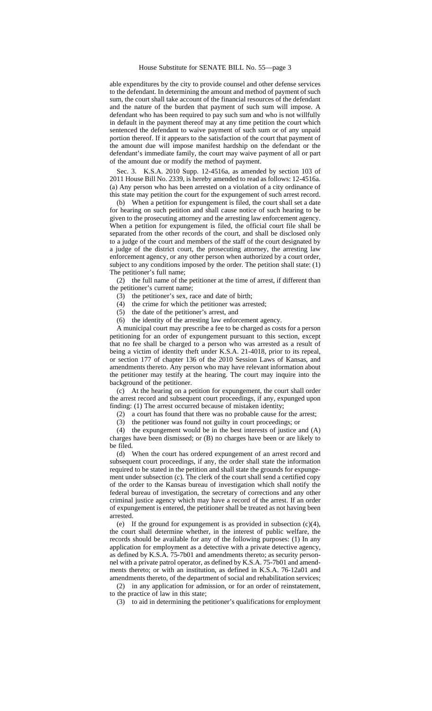able expenditures by the city to provide counsel and other defense services to the defendant. In determining the amount and method of payment of such sum, the court shall take account of the financial resources of the defendant and the nature of the burden that payment of such sum will impose. A defendant who has been required to pay such sum and who is not willfully in default in the payment thereof may at any time petition the court which sentenced the defendant to waive payment of such sum or of any unpaid portion thereof. If it appears to the satisfaction of the court that payment of the amount due will impose manifest hardship on the defendant or the defendant's immediate family, the court may waive payment of all or part of the amount due or modify the method of payment.

Sec. 3. K.S.A. 2010 Supp. 12-4516a, as amended by section 103 of 2011 House Bill No. 2339, is hereby amended to read as follows: 12-4516a. (a) Any person who has been arrested on a violation of a city ordinance of this state may petition the court for the expungement of such arrest record.

(b) When a petition for expungement is filed, the court shall set a date for hearing on such petition and shall cause notice of such hearing to be given to the prosecuting attorney and the arresting law enforcement agency. When a petition for expungement is filed, the official court file shall be separated from the other records of the court, and shall be disclosed only to a judge of the court and members of the staff of the court designated by a judge of the district court, the prosecuting attorney, the arresting law enforcement agency, or any other person when authorized by a court order, subject to any conditions imposed by the order. The petition shall state: (1) The petitioner's full name;

(2) the full name of the petitioner at the time of arrest, if different than the petitioner's current name;

- (3) the petitioner's sex, race and date of birth;
- (4) the crime for which the petitioner was arrested;
- (5) the date of the petitioner's arrest, and
- (6) the identity of the arresting law enforcement agency.

A municipal court may prescribe a fee to be charged as costs for a person petitioning for an order of expungement pursuant to this section, except that no fee shall be charged to a person who was arrested as a result of being a victim of identity theft under K.S.A. 21-4018, prior to its repeal, or section 177 of chapter 136 of the 2010 Session Laws of Kansas, and amendments thereto. Any person who may have relevant information about the petitioner may testify at the hearing. The court may inquire into the background of the petitioner.

(c) At the hearing on a petition for expungement, the court shall order the arrest record and subsequent court proceedings, if any, expunged upon finding: (1) The arrest occurred because of mistaken identity;

(2) a court has found that there was no probable cause for the arrest;

(3) the petitioner was found not guilty in court proceedings; or

(4) the expungement would be in the best interests of justice and (A) charges have been dismissed; or (B) no charges have been or are likely to be filed.

(d) When the court has ordered expungement of an arrest record and subsequent court proceedings, if any, the order shall state the information required to be stated in the petition and shall state the grounds for expungement under subsection (c). The clerk of the court shall send a certified copy of the order to the Kansas bureau of investigation which shall notify the federal bureau of investigation, the secretary of corrections and any other criminal justice agency which may have a record of the arrest. If an order of expungement is entered, the petitioner shall be treated as not having been arrested.

(e) If the ground for expungement is as provided in subsection (c)(4), the court shall determine whether, in the interest of public welfare, the records should be available for any of the following purposes: (1) In any application for employment as a detective with a private detective agency, as defined by K.S.A. 75-7b01 and amendments thereto; as security personnel with a private patrol operator, as defined by K.S.A. 75-7b01 and amendments thereto; or with an institution, as defined in K.S.A. 76-12a01 and amendments thereto, of the department of social and rehabilitation services;

(2) in any application for admission, or for an order of reinstatement, to the practice of law in this state;

(3) to aid in determining the petitioner's qualifications for employment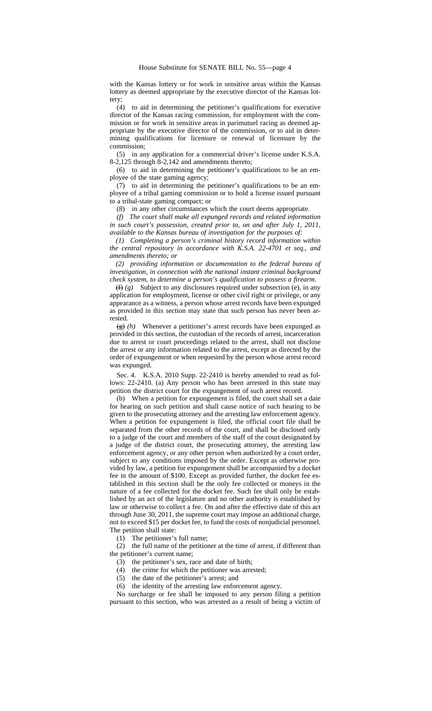with the Kansas lottery or for work in sensitive areas within the Kansas lottery as deemed appropriate by the executive director of the Kansas lottery;

(4) to aid in determining the petitioner's qualifications for executive director of the Kansas racing commission, for employment with the commission or for work in sensitive areas in parimutuel racing as deemed appropriate by the executive director of the commission, or to aid in determining qualifications for licensure or renewal of licensure by the commission;

(5) in any application for a commercial driver's license under K.S.A. 8-2,125 through 8-2,142 and amendments thereto;

(6) to aid in determining the petitioner's qualifications to be an employee of the state gaming agency;

(7) to aid in determining the petitioner's qualifications to be an employee of a tribal gaming commission or to hold a license issued pursuant to a tribal-state gaming compact; or

(8) in any other circumstances which the court deems appropriate.

*(f) The court shall make all expunged records and related information in such court's possession, created prior to, on and after July 1, 2011, available to the Kansas bureau of investigation for the purposes of:*

*(1) Completing a person's criminal history record information within the central repository in accordance with K.S.A. 22-4701 et seq., and amendments thereto; or*

*(2) providing information or documentation to the federal bureau of investigation, in connection with the national instant criminal background check system, to determine a person's qualification to possess a firearm.*

 $(f)$  *(g)* Subject to any disclosures required under subsection (e), in any application for employment, license or other civil right or privilege, or any appearance as a witness, a person whose arrest records have been expunged as provided in this section may state that such person has never been arrested.

 $\left(\frac{g}{g}\right)$  *(h)* Whenever a petitioner's arrest records have been expunged as provided in this section, the custodian of the records of arrest, incarceration due to arrest or court proceedings related to the arrest, shall not disclose the arrest or any information related to the arrest, except as directed by the order of expungement or when requested by the person whose arrest record was expunged.

Sec. 4. K.S.A. 2010 Supp. 22-2410 is hereby amended to read as follows: 22-2410. (a) Any person who has been arrested in this state may petition the district court for the expungement of such arrest record.

(b) When a petition for expungement is filed, the court shall set a date for hearing on such petition and shall cause notice of such hearing to be given to the prosecuting attorney and the arresting law enforcement agency. When a petition for expungement is filed, the official court file shall be separated from the other records of the court, and shall be disclosed only to a judge of the court and members of the staff of the court designated by a judge of the district court, the prosecuting attorney, the arresting law enforcement agency, or any other person when authorized by a court order, subject to any conditions imposed by the order. Except as otherwise provided by law, a petition for expungement shall be accompanied by a docket fee in the amount of \$100. Except as provided further, the docket fee established in this section shall be the only fee collected or moneys in the nature of a fee collected for the docket fee. Such fee shall only be established by an act of the legislature and no other authority is established by law or otherwise to collect a fee. On and after the effective date of this act through June 30, 2011, the supreme court may impose an additional charge, not to exceed \$15 per docket fee, to fund the costs of nonjudicial personnel. The petition shall state:

(1) The petitioner's full name;

(2) the full name of the petitioner at the time of arrest, if different than the petitioner's current name;

(3) the petitioner's sex, race and date of birth;

(4) the crime for which the petitioner was arrested;

(5) the date of the petitioner's arrest; and

(6) the identity of the arresting law enforcement agency.

No surcharge or fee shall be imposed to any person filing a petition pursuant to this section, who was arrested as a result of being a victim of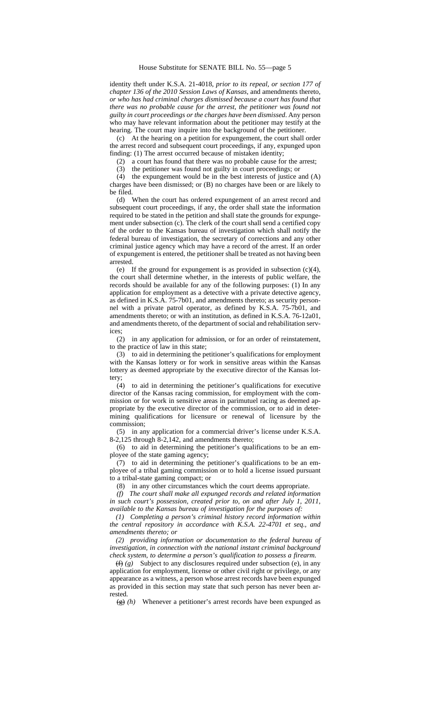identity theft under K.S.A. 21-4018, *prior to its repeal, or section 177 of chapter 136 of the 2010 Session Laws of Kansas,* and amendments thereto*, or who has had criminal charges dismissed because a court has found that there was no probable cause for the arrest, the petitioner was found not guilty in court proceedings or the charges have been dismissed*. Any person who may have relevant information about the petitioner may testify at the hearing. The court may inquire into the background of the petitioner.

(c) At the hearing on a petition for expungement, the court shall order the arrest record and subsequent court proceedings, if any, expunged upon finding: (1) The arrest occurred because of mistaken identity;

(2) a court has found that there was no probable cause for the arrest;

(3) the petitioner was found not guilty in court proceedings; or

(4) the expungement would be in the best interests of justice and (A) charges have been dismissed; or (B) no charges have been or are likely to be filed.

(d) When the court has ordered expungement of an arrest record and subsequent court proceedings, if any, the order shall state the information required to be stated in the petition and shall state the grounds for expungement under subsection (c). The clerk of the court shall send a certified copy of the order to the Kansas bureau of investigation which shall notify the federal bureau of investigation, the secretary of corrections and any other criminal justice agency which may have a record of the arrest. If an order of expungement is entered, the petitioner shall be treated as not having been arrested.

(e) If the ground for expungement is as provided in subsection (c)(4), the court shall determine whether, in the interests of public welfare, the records should be available for any of the following purposes: (1) In any application for employment as a detective with a private detective agency, as defined in K.S.A. 75-7b01, and amendments thereto; as security personnel with a private patrol operator, as defined by K.S.A. 75-7b01, and amendments thereto; or with an institution, as defined in K.S.A. 76-12a01, and amendments thereto, of the department of social and rehabilitation serv-

ices;  $(2)$ in any application for admission, or for an order of reinstatement, to the practice of law in this state;

(3) to aid in determining the petitioner's qualifications for employment with the Kansas lottery or for work in sensitive areas within the Kansas lottery as deemed appropriate by the executive director of the Kansas lottery;

(4) to aid in determining the petitioner's qualifications for executive director of the Kansas racing commission, for employment with the commission or for work in sensitive areas in parimutuel racing as deemed appropriate by the executive director of the commission, or to aid in determining qualifications for licensure or renewal of licensure by the commission;

(5) in any application for a commercial driver's license under K.S.A. 8-2,125 through 8-2,142, and amendments thereto;

(6) to aid in determining the petitioner's qualifications to be an employee of the state gaming agency;

(7) to aid in determining the petitioner's qualifications to be an employee of a tribal gaming commission or to hold a license issued pursuant to a tribal-state gaming compact; or

(8) in any other circumstances which the court deems appropriate.

*(f) The court shall make all expunged records and related information in such court's possession, created prior to, on and after July 1, 2011, available to the Kansas bureau of investigation for the purposes of:*

*(1) Completing a person's criminal history record information within the central repository in accordance with K.S.A. 22-4701 et seq., and amendments thereto; or*

*(2) providing information or documentation to the federal bureau of investigation, in connection with the national instant criminal background check system, to determine a person's qualification to possess a firearm.*

(f) *(g)* Subject to any disclosures required under subsection (e), in any application for employment, license or other civil right or privilege, or any appearance as a witness, a person whose arrest records have been expunged as provided in this section may state that such person has never been arrested.

(g) *(h)* Whenever a petitioner's arrest records have been expunged as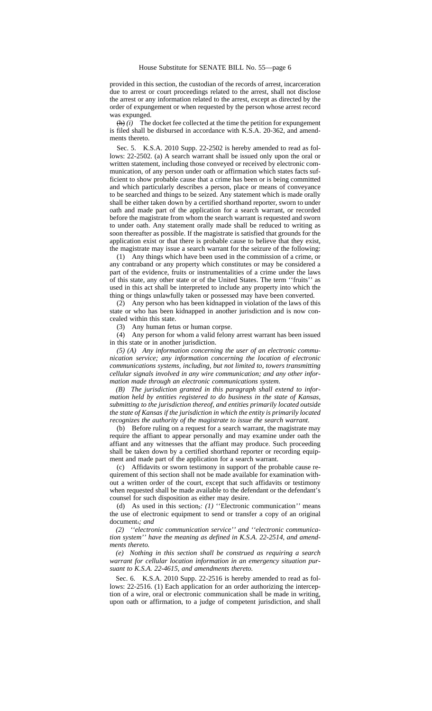provided in this section, the custodian of the records of arrest, incarceration due to arrest or court proceedings related to the arrest, shall not disclose the arrest or any information related to the arrest, except as directed by the order of expungement or when requested by the person whose arrest record was expunged.

 $\left(\mathbf{h}\right)$  *(i)* The docket fee collected at the time the petition for expungement is filed shall be disbursed in accordance with K.S.A. 20-362, and amendments thereto.

Sec. 5. K.S.A. 2010 Supp. 22-2502 is hereby amended to read as follows: 22-2502. (a) A search warrant shall be issued only upon the oral or written statement, including those conveyed or received by electronic communication, of any person under oath or affirmation which states facts sufficient to show probable cause that a crime has been or is being committed and which particularly describes a person, place or means of conveyance to be searched and things to be seized. Any statement which is made orally shall be either taken down by a certified shorthand reporter, sworn to under oath and made part of the application for a search warrant, or recorded before the magistrate from whom the search warrant is requested and sworn to under oath. Any statement orally made shall be reduced to writing as soon thereafter as possible. If the magistrate is satisfied that grounds for the application exist or that there is probable cause to believe that they exist, the magistrate may issue a search warrant for the seizure of the following:

(1) Any things which have been used in the commission of a crime, or any contraband or any property which constitutes or may be considered a part of the evidence, fruits or instrumentalities of a crime under the laws of this state, any other state or of the United States. The term ''fruits'' as used in this act shall be interpreted to include any property into which the thing or things unlawfully taken or possessed may have been converted.

(2) Any person who has been kidnapped in violation of the laws of this state or who has been kidnapped in another jurisdiction and is now concealed within this state.

(3) Any human fetus or human corpse.

(4) Any person for whom a valid felony arrest warrant has been issued in this state or in another jurisdiction.

*(5) (A) Any information concerning the user of an electronic communication service; any information concerning the location of electronic communications systems, including, but not limited to, towers transmitting cellular signals involved in any wire communication; and any other information made through an electronic communications system.*

*(B) The jurisdiction granted in this paragraph shall extend to information held by entities registered to do business in the state of Kansas, submitting to the jurisdiction thereof, and entities primarily located outside the state of Kansas if the jurisdiction in which the entity is primarily located recognizes the authority of the magistrate to issue the search warrant.*

(b) Before ruling on a request for a search warrant, the magistrate may require the affiant to appear personally and may examine under oath the affiant and any witnesses that the affiant may produce. Such proceeding shall be taken down by a certified shorthand reporter or recording equipment and made part of the application for a search warrant.

(c) Affidavits or sworn testimony in support of the probable cause requirement of this section shall not be made available for examination without a written order of the court, except that such affidavits or testimony when requested shall be made available to the defendant or the defendant's counsel for such disposition as either may desire.

(d) As used in this section,*: (1)* ''Electronic communication*''* means the use of electronic equipment to send or transfer a copy of an original document.*; and*

*(2) ''electronic communication service'' and ''electronic communication system'' have the meaning as defined in K.S.A. 22-2514, and amendments thereto.*

*(e) Nothing in this section shall be construed as requiring a search warrant for cellular location information in an emergency situation pursuant to K.S.A. 22-4615, and amendments thereto.*

Sec. 6. K.S.A. 2010 Supp. 22-2516 is hereby amended to read as follows: 22-2516. (1) Each application for an order authorizing the interception of a wire, oral or electronic communication shall be made in writing, upon oath or affirmation, to a judge of competent jurisdiction, and shall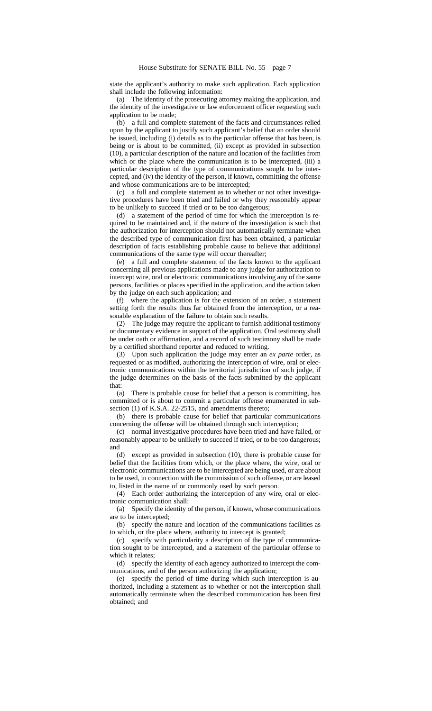state the applicant's authority to make such application. Each application shall include the following information:

(a) The identity of the prosecuting attorney making the application, and the identity of the investigative or law enforcement officer requesting such application to be made;

(b) a full and complete statement of the facts and circumstances relied upon by the applicant to justify such applicant's belief that an order should be issued, including (i) details as to the particular offense that has been, is being or is about to be committed, (ii) except as provided in subsection (10), a particular description of the nature and location of the facilities from which or the place where the communication is to be intercepted, (iii) a particular description of the type of communications sought to be intercepted, and (iv) the identity of the person, if known, committing the offense and whose communications are to be intercepted;

(c) a full and complete statement as to whether or not other investigative procedures have been tried and failed or why they reasonably appear to be unlikely to succeed if tried or to be too dangerous;

(d) a statement of the period of time for which the interception is required to be maintained and, if the nature of the investigation is such that the authorization for interception should not automatically terminate when the described type of communication first has been obtained, a particular description of facts establishing probable cause to believe that additional communications of the same type will occur thereafter;

(e) a full and complete statement of the facts known to the applicant concerning all previous applications made to any judge for authorization to intercept wire, oral or electronic communications involving any of the same persons, facilities or places specified in the application, and the action taken by the judge on each such application; and

(f) where the application is for the extension of an order, a statement setting forth the results thus far obtained from the interception, or a reasonable explanation of the failure to obtain such results.

(2) The judge may require the applicant to furnish additional testimony or documentary evidence in support of the application. Oral testimony shall be under oath or affirmation, and a record of such testimony shall be made by a certified shorthand reporter and reduced to writing.

(3) Upon such application the judge may enter an *ex parte* order, as requested or as modified, authorizing the interception of wire, oral or electronic communications within the territorial jurisdiction of such judge, if the judge determines on the basis of the facts submitted by the applicant that:

(a) There is probable cause for belief that a person is committing, has committed or is about to commit a particular offense enumerated in subsection (1) of K.S.A. 22-2515, and amendments thereto;

(b) there is probable cause for belief that particular communications concerning the offense will be obtained through such interception;

(c) normal investigative procedures have been tried and have failed, or reasonably appear to be unlikely to succeed if tried, or to be too dangerous; and

(d) except as provided in subsection (10), there is probable cause for belief that the facilities from which, or the place where, the wire, oral or electronic communications are to be intercepted are being used, or are about to be used, in connection with the commission of such offense, or are leased to, listed in the name of or commonly used by such person.

(4) Each order authorizing the interception of any wire, oral or electronic communication shall:

(a) Specify the identity of the person, if known, whose communications are to be intercepted;

(b) specify the nature and location of the communications facilities as to which, or the place where, authority to intercept is granted;

(c) specify with particularity a description of the type of communication sought to be intercepted, and a statement of the particular offense to which it relates:

(d) specify the identity of each agency authorized to intercept the communications, and of the person authorizing the application;

(e) specify the period of time during which such interception is authorized, including a statement as to whether or not the interception shall automatically terminate when the described communication has been first obtained; and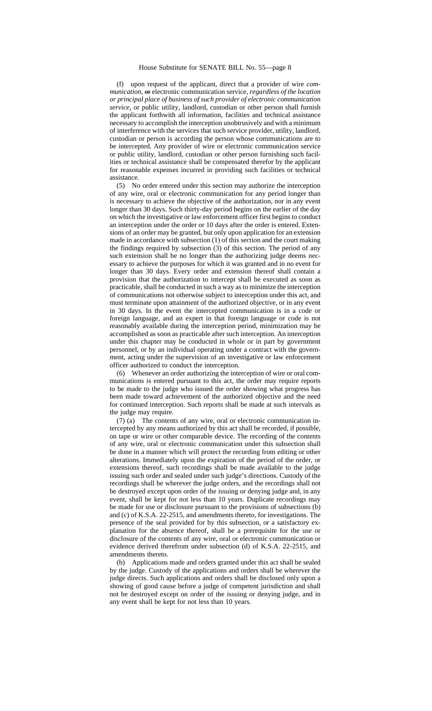(f) upon request of the applicant, direct that a provider of wire *communication,* or electronic communication service*, regardless of the location or principal place of business of such provider of electronic communication service,* or public utility, landlord, custodian or other person shall furnish the applicant forthwith all information, facilities and technical assistance necessary to accomplish the interception unobtrusively and with a minimum of interference with the services that such service provider, utility, landlord, custodian or person is according the person whose communications are to be intercepted. Any provider of wire or electronic communication service or public utility, landlord, custodian or other person furnishing such facilities or technical assistance shall be compensated therefor by the applicant for reasonable expenses incurred in providing such facilities or technical assistance.

(5) No order entered under this section may authorize the interception of any wire, oral or electronic communication for any period longer than is necessary to achieve the objective of the authorization, nor in any event longer than 30 days. Such thirty-day period begins on the earlier of the day on which the investigative or law enforcement officer first begins to conduct an interception under the order or 10 days after the order is entered. Extensions of an order may be granted, but only upon application for an extension made in accordance with subsection (1) of this section and the court making the findings required by subsection (3) of this section. The period of any such extension shall be no longer than the authorizing judge deems necessary to achieve the purposes for which it was granted and in no event for longer than 30 days. Every order and extension thereof shall contain a provision that the authorization to intercept shall be executed as soon as practicable, shall be conducted in such a way as to minimize the interception of communications not otherwise subject to interception under this act, and must terminate upon attainment of the authorized objective, or in any event in 30 days. In the event the intercepted communication is in a code or foreign language, and an expert in that foreign language or code is not reasonably available during the interception period, minimization may be accomplished as soon as practicable after such interception. An interception under this chapter may be conducted in whole or in part by government personnel, or by an individual operating under a contract with the government, acting under the supervision of an investigative or law enforcement officer authorized to conduct the interception.

(6) Whenever an order authorizing the interception of wire or oral communications is entered pursuant to this act, the order may require reports to be made to the judge who issued the order showing what progress has been made toward achievement of the authorized objective and the need for continued interception. Such reports shall be made at such intervals as the judge may require.

(7) (a) The contents of any wire, oral or electronic communication intercepted by any means authorized by this act shall be recorded, if possible, on tape or wire or other comparable device. The recording of the contents of any wire, oral or electronic communication under this subsection shall be done in a manner which will protect the recording from editing or other alterations. Immediately upon the expiration of the period of the order, or extensions thereof, such recordings shall be made available to the judge issuing such order and sealed under such judge's directions. Custody of the recordings shall be wherever the judge orders, and the recordings shall not be destroyed except upon order of the issuing or denying judge and, in any event, shall be kept for not less than 10 years. Duplicate recordings may be made for use or disclosure pursuant to the provisions of subsections (b) and (c) of K.S.A. 22-2515, and amendments thereto, for investigations. The presence of the seal provided for by this subsection, or a satisfactory explanation for the absence thereof, shall be a prerequisite for the use or disclosure of the contents of any wire, oral or electronic communication or evidence derived therefrom under subsection (d) of K.S.A. 22-2515, and amendments thereto.

(b) Applications made and orders granted under this act shall be sealed by the judge. Custody of the applications and orders shall be wherever the judge directs. Such applications and orders shall be disclosed only upon a showing of good cause before a judge of competent jurisdiction and shall not be destroyed except on order of the issuing or denying judge, and in any event shall be kept for not less than 10 years.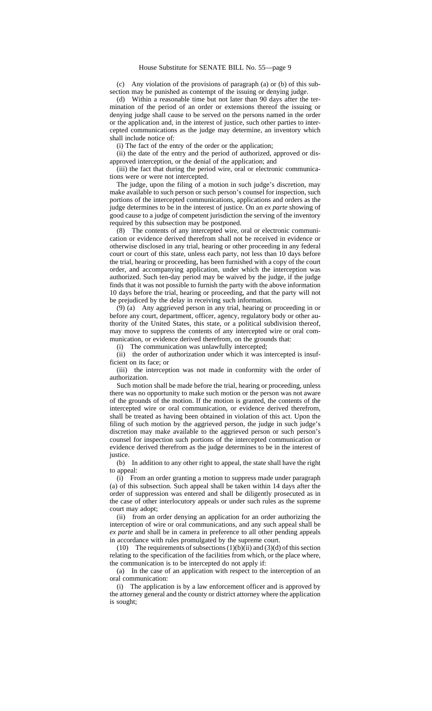(c) Any violation of the provisions of paragraph (a) or (b) of this subsection may be punished as contempt of the issuing or denying judge.

(d) Within a reasonable time but not later than 90 days after the termination of the period of an order or extensions thereof the issuing or denying judge shall cause to be served on the persons named in the order or the application and, in the interest of justice, such other parties to intercepted communications as the judge may determine, an inventory which shall include notice of:

(i) The fact of the entry of the order or the application;

(ii) the date of the entry and the period of authorized, approved or disapproved interception, or the denial of the application; and

(iii) the fact that during the period wire, oral or electronic communications were or were not intercepted.

The judge, upon the filing of a motion in such judge's discretion, may make available to such person or such person's counsel for inspection, such portions of the intercepted communications, applications and orders as the judge determines to be in the interest of justice. On an *ex parte* showing of good cause to a judge of competent jurisdiction the serving of the inventory required by this subsection may be postponed.

(8) The contents of any intercepted wire, oral or electronic communication or evidence derived therefrom shall not be received in evidence or otherwise disclosed in any trial, hearing or other proceeding in any federal court or court of this state, unless each party, not less than 10 days before the trial, hearing or proceeding, has been furnished with a copy of the court order, and accompanying application, under which the interception was authorized. Such ten-day period may be waived by the judge, if the judge finds that it was not possible to furnish the party with the above information 10 days before the trial, hearing or proceeding, and that the party will not be prejudiced by the delay in receiving such information.

(9) (a) Any aggrieved person in any trial, hearing or proceeding in or before any court, department, officer, agency, regulatory body or other authority of the United States, this state, or a political subdivision thereof, may move to suppress the contents of any intercepted wire or oral communication, or evidence derived therefrom, on the grounds that:

(i) The communication was unlawfully intercepted;

(ii) the order of authorization under which it was intercepted is insufficient on its face; or

(iii) the interception was not made in conformity with the order of authorization.

Such motion shall be made before the trial, hearing or proceeding, unless there was no opportunity to make such motion or the person was not aware of the grounds of the motion. If the motion is granted, the contents of the intercepted wire or oral communication, or evidence derived therefrom, shall be treated as having been obtained in violation of this act. Upon the filing of such motion by the aggrieved person, the judge in such judge's discretion may make available to the aggrieved person or such person's counsel for inspection such portions of the intercepted communication or evidence derived therefrom as the judge determines to be in the interest of justice.

(b) In addition to any other right to appeal, the state shall have the right to appeal:

(i) From an order granting a motion to suppress made under paragraph (a) of this subsection. Such appeal shall be taken within 14 days after the order of suppression was entered and shall be diligently prosecuted as in the case of other interlocutory appeals or under such rules as the supreme court may adopt;

(ii) from an order denying an application for an order authorizing the interception of wire or oral communications, and any such appeal shall be *ex parte* and shall be in camera in preference to all other pending appeals in accordance with rules promulgated by the supreme court.

(10) The requirements of subsections  $(1)(b)(ii)$  and  $(3)(d)$  of this section relating to the specification of the facilities from which, or the place where, the communication is to be intercepted do not apply if:

(a) In the case of an application with respect to the interception of an oral communication:

(i) The application is by a law enforcement officer and is approved by the attorney general and the county or district attorney where the application is sought;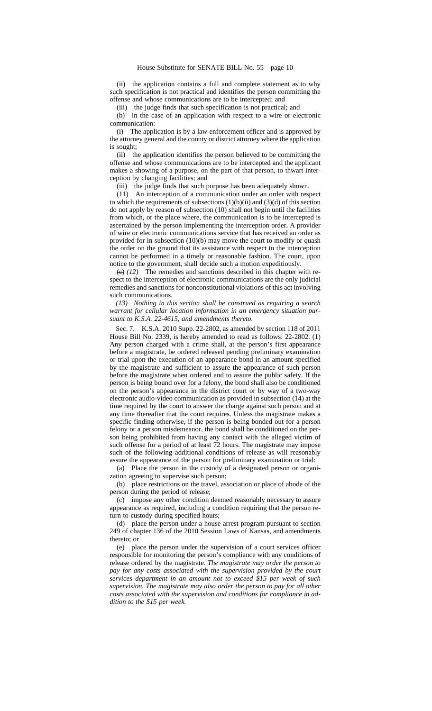(ii) the application contains a full and complete statement as to why such specification is not practical and identifies the person committing the offense and whose communications are to be intercepted; and

(iii) the judge finds that such specification is not practical; and

(b) in the case of an application with respect to a wire or electronic communication:

(i) The application is by a law enforcement officer and is approved by the attorney general and the county or district attorney where the application is sought;

(ii) the application identifies the person believed to be committing the offense and whose communications are to be intercepted and the applicant makes a showing of a purpose, on the part of that person, to thwart interception by changing facilities; and

(iii) the judge finds that such purpose has been adequately shown.

(11) An interception of a communication under an order with respect to which the requirements of subsections  $(1)(b)(ii)$  and  $(3)(d)$  of this section do not apply by reason of subsection (10) shall not begin until the facilities from which, or the place where, the communication is to be intercepted is ascertained by the person implementing the interception order. A provider of wire or electronic communications service that has received an order as provided for in subsection (10)(b) may move the court to modify or quash the order on the ground that its assistance with respect to the interception cannot be performed in a timely or reasonable fashion. The court, upon notice to the government, shall decide such a motion expeditiously.

 $\left(\frac{e}{e}\right)$  *(12)* The remedies and sanctions described in this chapter with respect to the interception of electronic communications are the only judicial remedies and sanctions for nonconstitutional violations of this act involving such communications.

*(13) Nothing in this section shall be construed as requiring a search warrant for cellular location information in an emergency situation pursuant to K.S.A. 22-4615, and amendments thereto.*

Sec. 7. K.S.A. 2010 Supp. 22-2802, as amended by section 118 of 2011 House Bill No. 2339, is hereby amended to read as follows: 22-2802. (1) Any person charged with a crime shall, at the person's first appearance before a magistrate, be ordered released pending preliminary examination or trial upon the execution of an appearance bond in an amount specified by the magistrate and sufficient to assure the appearance of such person before the magistrate when ordered and to assure the public safety. If the person is being bound over for a felony, the bond shall also be conditioned on the person's appearance in the district court or by way of a two-way electronic audio-video communication as provided in subsection (14) at the time required by the court to answer the charge against such person and at any time thereafter that the court requires. Unless the magistrate makes a specific finding otherwise, if the person is being bonded out for a person felony or a person misdemeanor, the bond shall be conditioned on the person being prohibited from having any contact with the alleged victim of such offense for a period of at least 72 hours. The magistrate may impose such of the following additional conditions of release as will reasonably assure the appearance of the person for preliminary examination or trial:

(a) Place the person in the custody of a designated person or organization agreeing to supervise such person;

(b) place restrictions on the travel, association or place of abode of the person during the period of release;

(c) impose any other condition deemed reasonably necessary to assure appearance as required, including a condition requiring that the person return to custody during specified hours;

(d) place the person under a house arrest program pursuant to section 249 of chapter 136 of the 2010 Session Laws of Kansas, and amendments thereto; or

(e) place the person under the supervision of a court services officer responsible for monitoring the person's compliance with any conditions of release ordered by the magistrate. *The magistrate may order the person to pay for any costs associated with the supervision provided by the court services department in an amount not to exceed \$15 per week of such supervision. The magistrate may also order the person to pay for all other costs associated with the supervision and conditions for compliance in addition to the \$15 per week.*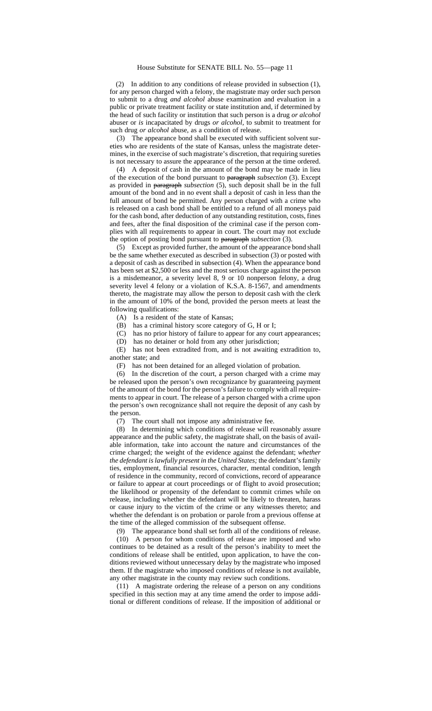(2) In addition to any conditions of release provided in subsection (1), for any person charged with a felony, the magistrate may order such person to submit to a drug *and alcohol* abuse examination and evaluation in a public or private treatment facility or state institution and, if determined by the head of such facility or institution that such person is a drug *or alcohol* abuser or *is* incapacitated by drugs *or alcohol*, to submit to treatment for such drug *or alcohol* abuse, as a condition of release.

(3) The appearance bond shall be executed with sufficient solvent sureties who are residents of the state of Kansas, unless the magistrate determines, in the exercise of such magistrate's discretion, that requiring sureties is not necessary to assure the appearance of the person at the time ordered.

(4) A deposit of cash in the amount of the bond may be made in lieu of the execution of the bond pursuant to paragraph *subsection* (3). Except as provided in paragraph *subsection* (5), such deposit shall be in the full amount of the bond and in no event shall a deposit of cash in less than the full amount of bond be permitted. Any person charged with a crime who is released on a cash bond shall be entitled to a refund of all moneys paid for the cash bond, after deduction of any outstanding restitution, costs, fines and fees, after the final disposition of the criminal case if the person complies with all requirements to appear in court. The court may not exclude the option of posting bond pursuant to paragraph *subsection* (3).

(5) Except as provided further, the amount of the appearance bond shall be the same whether executed as described in subsection (3) or posted with a deposit of cash as described in subsection (4). When the appearance bond has been set at \$2,500 or less and the most serious charge against the person is a misdemeanor, a severity level 8, 9 or 10 nonperson felony, a drug severity level 4 felony or a violation of K.S.A. 8-1567, and amendments thereto, the magistrate may allow the person to deposit cash with the clerk in the amount of 10% of the bond, provided the person meets at least the following qualifications:

(A) Is a resident of the state of Kansas;

(B) has a criminal history score category of G, H or I;

(C) has no prior history of failure to appear for any court appearances;

(D) has no detainer or hold from any other jurisdiction;

(E) has not been extradited from, and is not awaiting extradition to, another state; and

(F) has not been detained for an alleged violation of probation.

(6) In the discretion of the court, a person charged with a crime may be released upon the person's own recognizance by guaranteeing payment of the amount of the bond for the person's failure to comply with all requirements to appear in court. The release of a person charged with a crime upon the person's own recognizance shall not require the deposit of any cash by the person.

(7) The court shall not impose any administrative fee.

(8) In determining which conditions of release will reasonably assure appearance and the public safety, the magistrate shall, on the basis of available information, take into account the nature and circumstances of the crime charged; the weight of the evidence against the defendant; *whether the defendant is lawfully present in the United States;* the defendant's family ties, employment, financial resources, character, mental condition, length of residence in the community, record of convictions, record of appearance or failure to appear at court proceedings or of flight to avoid prosecution; the likelihood or propensity of the defendant to commit crimes while on release, including whether the defendant will be likely to threaten, harass or cause injury to the victim of the crime or any witnesses thereto; and whether the defendant is on probation or parole from a previous offense at the time of the alleged commission of the subsequent offense.

(9) The appearance bond shall set forth all of the conditions of release.

(10) A person for whom conditions of release are imposed and who continues to be detained as a result of the person's inability to meet the conditions of release shall be entitled, upon application, to have the conditions reviewed without unnecessary delay by the magistrate who imposed them. If the magistrate who imposed conditions of release is not available, any other magistrate in the county may review such conditions.

(11) A magistrate ordering the release of a person on any conditions specified in this section may at any time amend the order to impose additional or different conditions of release. If the imposition of additional or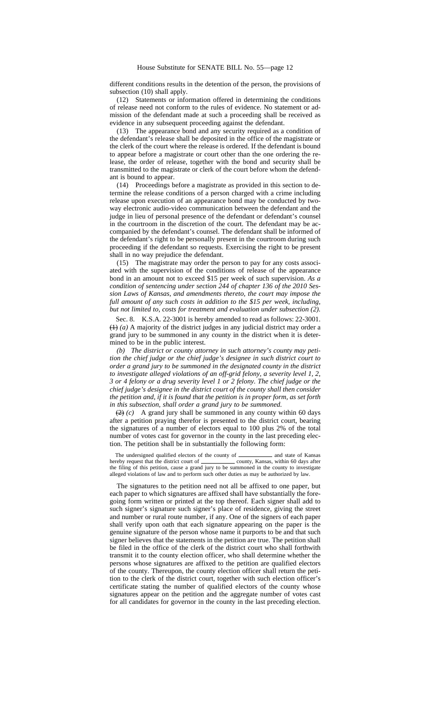different conditions results in the detention of the person, the provisions of subsection (10) shall apply.

(12) Statements or information offered in determining the conditions of release need not conform to the rules of evidence. No statement or admission of the defendant made at such a proceeding shall be received as evidence in any subsequent proceeding against the defendant.

(13) The appearance bond and any security required as a condition of the defendant's release shall be deposited in the office of the magistrate or the clerk of the court where the release is ordered. If the defendant is bound to appear before a magistrate or court other than the one ordering the release, the order of release, together with the bond and security shall be transmitted to the magistrate or clerk of the court before whom the defendant is bound to appear.

(14) Proceedings before a magistrate as provided in this section to determine the release conditions of a person charged with a crime including release upon execution of an appearance bond may be conducted by twoway electronic audio-video communication between the defendant and the judge in lieu of personal presence of the defendant or defendant's counsel in the courtroom in the discretion of the court. The defendant may be accompanied by the defendant's counsel. The defendant shall be informed of the defendant's right to be personally present in the courtroom during such proceeding if the defendant so requests. Exercising the right to be present shall in no way prejudice the defendant.

(15) The magistrate may order the person to pay for any costs associated with the supervision of the conditions of release of the appearance bond in an amount not to exceed \$15 per week of such supervision. *As a condition of sentencing under section 244 of chapter 136 of the 2010 Session Laws of Kansas, and amendments thereto, the court may impose the full amount of any such costs in addition to the \$15 per week, including, but not limited to, costs for treatment and evaluation under subsection (2).*

Sec. 8. K.S.A. 22-3001 is hereby amended to read as follows: 22-3001. (1) *(a)* A majority of the district judges in any judicial district may order a grand jury to be summoned in any county in the district when it is determined to be in the public interest.

*(b) The district or county attorney in such attorney's county may petition the chief judge or the chief judge's designee in such district court to order a grand jury to be summoned in the designated county in the district to investigate alleged violations of an off-grid felony, a severity level 1, 2, 3 or 4 felony or a drug severity level 1 or 2 felony. The chief judge or the chief judge's designee in the district court of the county shall then consider the petition and, if it is found that the petition is in proper form, as set forth in this subsection, shall order a grand jury to be summoned.*

 $(2)$  *(c)* A grand jury shall be summoned in any county within 60 days after a petition praying therefor is presented to the district court, bearing the signatures of a number of electors equal to 100 plus 2% of the total number of votes cast for governor in the county in the last preceding election. The petition shall be in substantially the following form:

The undersigned qualified electors of the county of \_\_\_\_\_\_\_\_\_\_\_\_ and state of Kansas hereby request that the district court of county, Kansas, within 60 days after the filing of this petition, cause a grand jury to be summoned in the county to investigate alleged violations of law and to perform such other duties as may be authorized by law.

The signatures to the petition need not all be affixed to one paper, but each paper to which signatures are affixed shall have substantially the foregoing form written or printed at the top thereof. Each signer shall add to such signer's signature such signer's place of residence, giving the street and number or rural route number, if any. One of the signers of each paper shall verify upon oath that each signature appearing on the paper is the genuine signature of the person whose name it purports to be and that such signer believes that the statements in the petition are true. The petition shall be filed in the office of the clerk of the district court who shall forthwith transmit it to the county election officer, who shall determine whether the persons whose signatures are affixed to the petition are qualified electors of the county. Thereupon, the county election officer shall return the petition to the clerk of the district court, together with such election officer's certificate stating the number of qualified electors of the county whose signatures appear on the petition and the aggregate number of votes cast for all candidates for governor in the county in the last preceding election.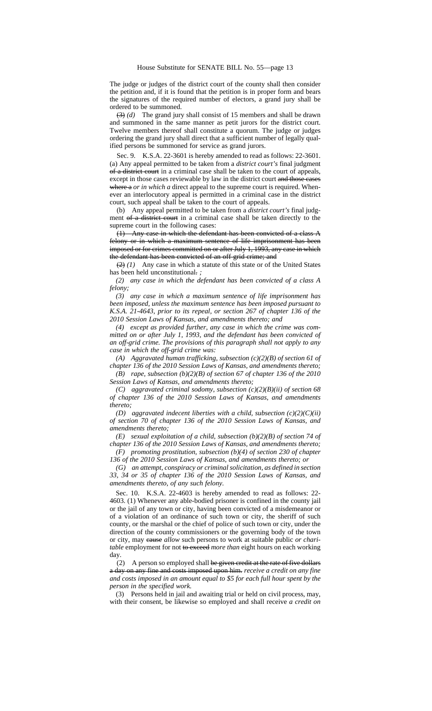The judge or judges of the district court of the county shall then consider the petition and, if it is found that the petition is in proper form and bears the signatures of the required number of electors, a grand jury shall be ordered to be summoned.

(3) *(d)* The grand jury shall consist of 15 members and shall be drawn and summoned in the same manner as petit jurors for the district court. Twelve members thereof shall constitute a quorum. The judge or judges ordering the grand jury shall direct that a sufficient number of legally qualified persons be summoned for service as grand jurors.

Sec. 9. K.S.A. 22-3601 is hereby amended to read as follows: 22-3601. (a) Any appeal permitted to be taken from a *district court's* final judgment of a district court in a criminal case shall be taken to the court of appeals, except in those cases reviewable by law in the district court and those cases where a *or in which a* direct appeal to the supreme court is required. Whenever an interlocutory appeal is permitted in a criminal case in the district court, such appeal shall be taken to the court of appeals.

(b) Any appeal permitted to be taken from a *district court's* final judgment of a district court in a criminal case shall be taken directly to the supreme court in the following cases:

(1) Any case in which the defendant has been convicted of a class A felony or in which a maximum sentence of life imprisonment has been imposed or for crimes committed on or after July 1, 1993, any case in which the defendant has been convicted of an off-grid crime; and

(2) *(1)* Any case in which a statute of this state or of the United States has been held unconstitutional. *;*

*(2) any case in which the defendant has been convicted of a class A felony;*

*(3) any case in which a maximum sentence of life imprisonment has been imposed, unless the maximum sentence has been imposed pursuant to K.S.A. 21-4643, prior to its repeal, or section 267 of chapter 136 of the 2010 Session Laws of Kansas, and amendments thereto; and*

*(4) except as provided further, any case in which the crime was committed on or after July 1, 1993, and the defendant has been convicted of an off-grid crime. The provisions of this paragraph shall not apply to any case in which the off-grid crime was:*

*(A) Aggravated human trafficking, subsection (c)(2)(B) of section 61 of chapter 136 of the 2010 Session Laws of Kansas, and amendments thereto;*

*(B) rape, subsection (b)(2)(B) of section 67 of chapter 136 of the 2010 Session Laws of Kansas, and amendments thereto;*

*(C) aggravated criminal sodomy, subsection (c)(2)(B)(ii) of section 68 of chapter 136 of the 2010 Session Laws of Kansas, and amendments thereto;*

*(D) aggravated indecent liberties with a child, subsection (c)(2)(C)(ii) of section 70 of chapter 136 of the 2010 Session Laws of Kansas, and amendments thereto;*

*(E) sexual exploitation of a child, subsection (b)(2)(B) of section 74 of chapter 136 of the 2010 Session Laws of Kansas, and amendments thereto; (F) promoting prostitution, subsection (b)(4) of section 230 of chapter*

*136 of the 2010 Session Laws of Kansas, and amendments thereto; or*

*(G) an attempt, conspiracy or criminal solicitation, as defined in section 33, 34 or 35 of chapter 136 of the 2010 Session Laws of Kansas, and amendments thereto, of any such felony.*

Sec. 10. K.S.A. 22-4603 is hereby amended to read as follows: 22- 4603. (1) Whenever any able-bodied prisoner is confined in the county jail or the jail of any town or city, having been convicted of a misdemeanor or of a violation of an ordinance of such town or city, the sheriff of such county, or the marshal or the chief of police of such town or city, under the direction of the county commissioners or the governing body of the town or city, may cause *allow* such persons to work at suitable public *or charitable* employment for not to exceed *more than* eight hours on each working day.

(2) A person so employed shall be given credit at the rate of five dollars a day on any fine and costs imposed upon him. *receive a credit on any fine and costs imposed in an amount equal to \$5 for each full hour spent by the person in the specified work.*

(3) Persons held in jail and awaiting trial or held on civil process, may, with their consent, be likewise so employed and shall receive *a credit on*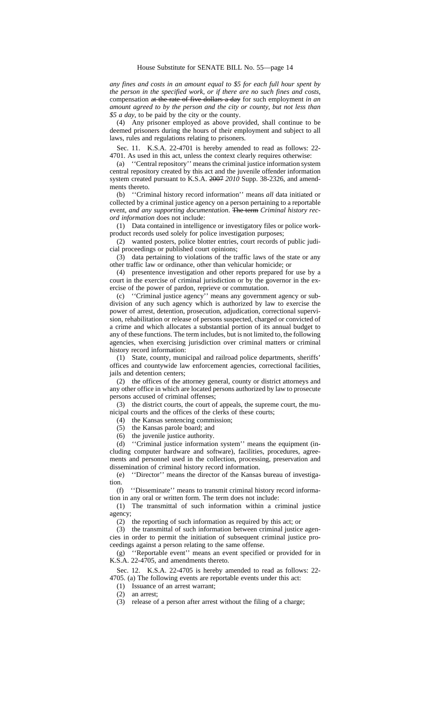*any fines and costs in an amount equal to \$5 for each full hour spent by the person in the specified work, or if there are no such fines and costs,* compensation at the rate of five dollars a day for such employment *in an amount agreed to by the person and the city or county, but not less than \$5 a day*, to be paid by the city or the county.

(4) Any prisoner employed as above provided, shall continue to be deemed prisoners during the hours of their employment and subject to all laws, rules and regulations relating to prisoners.

Sec. 11. K.S.A. 22-4701 is hereby amended to read as follows: 22- 4701. As used in this act, unless the context clearly requires otherwise:

(a) ''Central repository'' means the criminal justice information system central repository created by this act and the juvenile offender information system created pursuant to K.S.A. 2007 *2010* Supp. 38-2326, and amendments thereto.

(b) ''Criminal history record information'' means *all* data initiated or collected by a criminal justice agency on a person pertaining to a reportable event*, and any supporting documentation*. The term *Criminal history record information* does not include:

(1) Data contained in intelligence or investigatory files or police workproduct records used solely for police investigation purposes;

(2) wanted posters, police blotter entries, court records of public judicial proceedings or published court opinions;

(3) data pertaining to violations of the traffic laws of the state or any other traffic law or ordinance, other than vehicular homicide; or

(4) presentence investigation and other reports prepared for use by a court in the exercise of criminal jurisdiction or by the governor in the exercise of the power of pardon, reprieve or commutation.

(c) ''Criminal justice agency'' means any government agency or subdivision of any such agency which is authorized by law to exercise the power of arrest, detention, prosecution, adjudication, correctional supervision, rehabilitation or release of persons suspected, charged or convicted of a crime and which allocates a substantial portion of its annual budget to any of these functions. The term includes, but is not limited to, the following agencies, when exercising jurisdiction over criminal matters or criminal history record information:

(1) State, county, municipal and railroad police departments, sheriffs' offices and countywide law enforcement agencies, correctional facilities, jails and detention centers;

(2) the offices of the attorney general, county or district attorneys and any other office in which are located persons authorized by law to prosecute persons accused of criminal offenses;

(3) the district courts, the court of appeals, the supreme court, the municipal courts and the offices of the clerks of these courts;

(4) the Kansas sentencing commission;

(5) the Kansas parole board; and

(6) the juvenile justice authority.

(d) ''Criminal justice information system'' means the equipment (including computer hardware and software), facilities, procedures, agreements and personnel used in the collection, processing, preservation and dissemination of criminal history record information.

(e) ''Director'' means the director of the Kansas bureau of investigation.

(f) ''Disseminate'' means to transmit criminal history record information in any oral or written form. The term does not include:

(1) The transmittal of such information within a criminal justice agency;

(2) the reporting of such information as required by this act; or

(3) the transmittal of such information between criminal justice agencies in order to permit the initiation of subsequent criminal justice proceedings against a person relating to the same offense.

(g) ''Reportable event'' means an event specified or provided for in K.S.A. 22-4705, and amendments thereto.

Sec. 12. K.S.A. 22-4705 is hereby amended to read as follows: 22- 4705. (a) The following events are reportable events under this act:

(1) Issuance of an arrest warrant;

(2) an arrest;

(3) release of a person after arrest without the filing of a charge;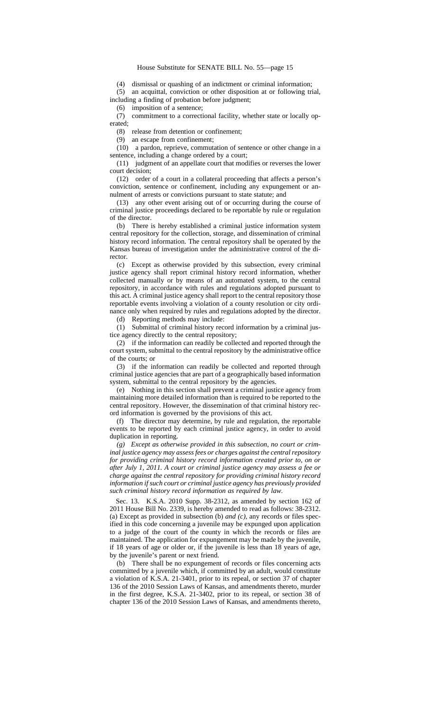(4) dismissal or quashing of an indictment or criminal information;

(5) an acquittal, conviction or other disposition at or following trial, including a finding of probation before judgment;

(6) imposition of a sentence;

(7) commitment to a correctional facility, whether state or locally operated;

(8) release from detention or confinement;

(9) an escape from confinement;

(10) a pardon, reprieve, commutation of sentence or other change in a sentence, including a change ordered by a court;

(11) judgment of an appellate court that modifies or reverses the lower court decision;

(12) order of a court in a collateral proceeding that affects a person's conviction, sentence or confinement, including any expungement or annulment of arrests or convictions pursuant to state statute; and

(13) any other event arising out of or occurring during the course of criminal justice proceedings declared to be reportable by rule or regulation of the director.

(b) There is hereby established a criminal justice information system central repository for the collection, storage, and dissemination of criminal history record information. The central repository shall be operated by the Kansas bureau of investigation under the administrative control of the director.

(c) Except as otherwise provided by this subsection, every criminal justice agency shall report criminal history record information, whether collected manually or by means of an automated system, to the central repository, in accordance with rules and regulations adopted pursuant to this act. A criminal justice agency shall report to the central repository those reportable events involving a violation of a county resolution or city ordinance only when required by rules and regulations adopted by the director.

(d) Reporting methods may include:

(1) Submittal of criminal history record information by a criminal justice agency directly to the central repository;

(2) if the information can readily be collected and reported through the court system, submittal to the central repository by the administrative office of the courts; or

(3) if the information can readily be collected and reported through criminal justice agencies that are part of a geographically based information system, submittal to the central repository by the agencies.

(e) Nothing in this section shall prevent a criminal justice agency from maintaining more detailed information than is required to be reported to the central repository. However, the dissemination of that criminal history record information is governed by the provisions of this act.

(f) The director may determine, by rule and regulation, the reportable events to be reported by each criminal justice agency, in order to avoid duplication in reporting.

*(g) Except as otherwise provided in this subsection, no court or criminal justice agency may assess fees or charges against the central repository for providing criminal history record information created prior to, on or after July 1, 2011. A court or criminal justice agency may assess a fee or charge against the central repository for providing criminal history record information if such court or criminal justice agency has previously provided such criminal history record information as required by law.*

Sec. 13. K.S.A. 2010 Supp. 38-2312, as amended by section 162 of 2011 House Bill No. 2339, is hereby amended to read as follows: 38-2312. (a) Except as provided in subsection (b) *and (c)*, any records or files specified in this code concerning a juvenile may be expunged upon application to a judge of the court of the county in which the records or files are maintained. The application for expungement may be made by the juvenile, if 18 years of age or older or, if the juvenile is less than 18 years of age, by the juvenile's parent or next friend.

(b) There shall be no expungement of records or files concerning acts committed by a juvenile which, if committed by an adult, would constitute a violation of K.S.A. 21-3401, prior to its repeal, or section 37 of chapter 136 of the 2010 Session Laws of Kansas, and amendments thereto, murder in the first degree, K.S.A. 21-3402, prior to its repeal, or section 38 of chapter 136 of the 2010 Session Laws of Kansas, and amendments thereto,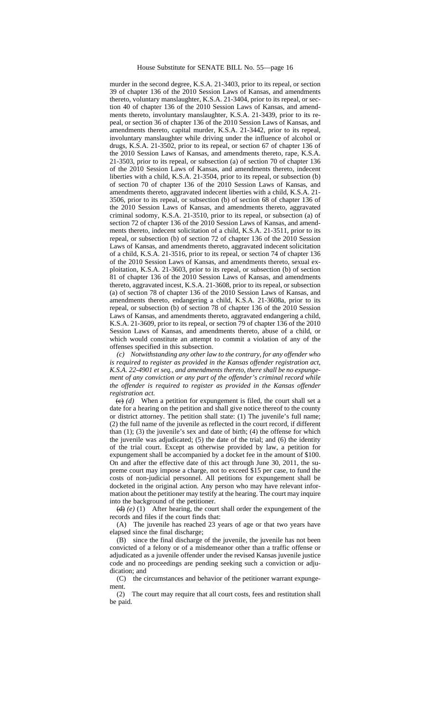murder in the second degree, K.S.A. 21-3403, prior to its repeal, or section 39 of chapter 136 of the 2010 Session Laws of Kansas, and amendments thereto, voluntary manslaughter, K.S.A. 21-3404, prior to its repeal, or section 40 of chapter 136 of the 2010 Session Laws of Kansas, and amendments thereto, involuntary manslaughter, K.S.A. 21-3439, prior to its repeal, or section 36 of chapter 136 of the 2010 Session Laws of Kansas, and amendments thereto, capital murder, K.S.A. 21-3442, prior to its repeal, involuntary manslaughter while driving under the influence of alcohol or drugs, K.S.A. 21-3502, prior to its repeal, or section 67 of chapter 136 of the 2010 Session Laws of Kansas, and amendments thereto, rape, K.S.A. 21-3503, prior to its repeal, or subsection (a) of section 70 of chapter 136 of the 2010 Session Laws of Kansas, and amendments thereto, indecent liberties with a child, K.S.A. 21-3504, prior to its repeal, or subsection (b) of section 70 of chapter 136 of the 2010 Session Laws of Kansas, and amendments thereto, aggravated indecent liberties with a child, K.S.A. 21- 3506, prior to its repeal, or subsection (b) of section 68 of chapter 136 of the 2010 Session Laws of Kansas, and amendments thereto, aggravated criminal sodomy, K.S.A. 21-3510, prior to its repeal, or subsection (a) of section 72 of chapter 136 of the 2010 Session Laws of Kansas, and amendments thereto, indecent solicitation of a child, K.S.A. 21-3511, prior to its repeal, or subsection (b) of section 72 of chapter 136 of the 2010 Session Laws of Kansas, and amendments thereto, aggravated indecent solicitation of a child, K.S.A. 21-3516, prior to its repeal, or section 74 of chapter 136 of the 2010 Session Laws of Kansas, and amendments thereto, sexual exploitation, K.S.A. 21-3603, prior to its repeal, or subsection (b) of section 81 of chapter 136 of the 2010 Session Laws of Kansas, and amendments thereto, aggravated incest, K.S.A. 21-3608, prior to its repeal, or subsection (a) of section 78 of chapter 136 of the 2010 Session Laws of Kansas, and amendments thereto, endangering a child, K.S.A. 21-3608a, prior to its repeal, or subsection (b) of section 78 of chapter 136 of the 2010 Session Laws of Kansas, and amendments thereto, aggravated endangering a child, K.S.A. 21-3609, prior to its repeal, or section 79 of chapter 136 of the 2010 Session Laws of Kansas, and amendments thereto, abuse of a child, or which would constitute an attempt to commit a violation of any of the offenses specified in this subsection.

*(c) Notwithstanding any other law to the contrary, for any offender who is required to register as provided in the Kansas offender registration act, K.S.A. 22-4901 et seq., and amendments thereto, there shall be no expungement of any conviction or any part of the offender's criminal record while the offender is required to register as provided in the Kansas offender registration act.*

 $\overline{(e)}$  *(d)* When a petition for expungement is filed, the court shall set a date for a hearing on the petition and shall give notice thereof to the county or district attorney. The petition shall state: (1) The juvenile's full name; (2) the full name of the juvenile as reflected in the court record, if different than (1); (3) the juvenile's sex and date of birth; (4) the offense for which the juvenile was adjudicated; (5) the date of the trial; and (6) the identity of the trial court. Except as otherwise provided by law, a petition for expungement shall be accompanied by a docket fee in the amount of \$100. On and after the effective date of this act through June 30, 2011, the supreme court may impose a charge, not to exceed \$15 per case, to fund the costs of non-judicial personnel. All petitions for expungement shall be docketed in the original action. Any person who may have relevant information about the petitioner may testify at the hearing. The court may inquire into the background of the petitioner.

 $(d)$  *(e)* (1) After hearing, the court shall order the expungement of the records and files if the court finds that:

(A) The juvenile has reached 23 years of age or that two years have elapsed since the final discharge;

(B) since the final discharge of the juvenile, the juvenile has not been convicted of a felony or of a misdemeanor other than a traffic offense or adjudicated as a juvenile offender under the revised Kansas juvenile justice code and no proceedings are pending seeking such a conviction or adjudication; and

(C) the circumstances and behavior of the petitioner warrant expungement.

(2) The court may require that all court costs, fees and restitution shall be paid.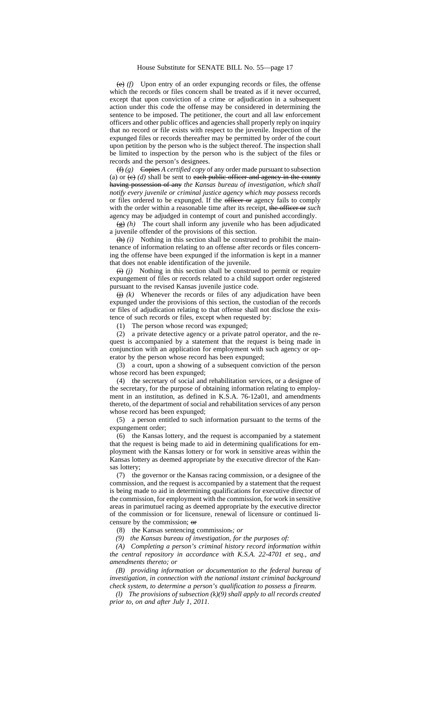(e) *(f)* Upon entry of an order expunging records or files, the offense which the records or files concern shall be treated as if it never occurred, except that upon conviction of a crime or adjudication in a subsequent action under this code the offense may be considered in determining the sentence to be imposed. The petitioner, the court and all law enforcement officers and other public offices and agencies shall properly reply on inquiry that no record or file exists with respect to the juvenile. Inspection of the expunged files or records thereafter may be permitted by order of the court upon petition by the person who is the subject thereof. The inspection shall be limited to inspection by the person who is the subject of the files or records and the person's designees.

 $(f)$  *(f) (g)* Copies *A certified copy* of any order made pursuant to subsection (a) or  $(e)$   $(d)$  shall be sent to each public officer and agency in the county having possession of any *the Kansas bureau of investigation, which shall notify every juvenile or criminal justice agency which may possess* records or files ordered to be expunged. If the officer or agency fails to comply with the order within a reasonable time after its receipt, the officer or *such* agency may be adjudged in contempt of court and punished accordingly.

(g) *(h)* The court shall inform any juvenile who has been adjudicated a juvenile offender of the provisions of this section.

 $(h)$  *(i)* Nothing in this section shall be construed to prohibit the maintenance of information relating to an offense after records or files concerning the offense have been expunged if the information is kept in a manner that does not enable identification of the juvenile.

 $(i)$  *(i)* Nothing in this section shall be construed to permit or require expungement of files or records related to a child support order registered pursuant to the revised Kansas juvenile justice code.

 $\leftrightarrow$  *(k)* Whenever the records or files of any adjudication have been expunged under the provisions of this section, the custodian of the records or files of adjudication relating to that offense shall not disclose the existence of such records or files, except when requested by:

(1) The person whose record was expunged;

(2) a private detective agency or a private patrol operator, and the request is accompanied by a statement that the request is being made in conjunction with an application for employment with such agency or operator by the person whose record has been expunged;

(3) a court, upon a showing of a subsequent conviction of the person whose record has been expunged;

(4) the secretary of social and rehabilitation services, or a designee of the secretary, for the purpose of obtaining information relating to employment in an institution, as defined in K.S.A. 76-12a01, and amendments thereto, of the department of social and rehabilitation services of any person whose record has been expunged;

(5) a person entitled to such information pursuant to the terms of the expungement order;

(6) the Kansas lottery, and the request is accompanied by a statement that the request is being made to aid in determining qualifications for employment with the Kansas lottery or for work in sensitive areas within the Kansas lottery as deemed appropriate by the executive director of the Kansas lottery;

(7) the governor or the Kansas racing commission, or a designee of the commission, and the request is accompanied by a statement that the request is being made to aid in determining qualifications for executive director of the commission, for employment with the commission, for work in sensitive areas in parimutuel racing as deemed appropriate by the executive director of the commission or for licensure, renewal of licensure or continued licensure by the commission; or

(8) the Kansas sentencing commission.*; or*

*(9) the Kansas bureau of investigation, for the purposes of:*

*(A) Completing a person's criminal history record information within the central repository in accordance with K.S.A. 22-4701 et seq., and amendments thereto; or*

*(B) providing information or documentation to the federal bureau of investigation, in connection with the national instant criminal background check system, to determine a person's qualification to possess a firearm.*

*(l) The provisions of subsection (k)(9) shall apply to all records created prior to, on and after July 1, 2011.*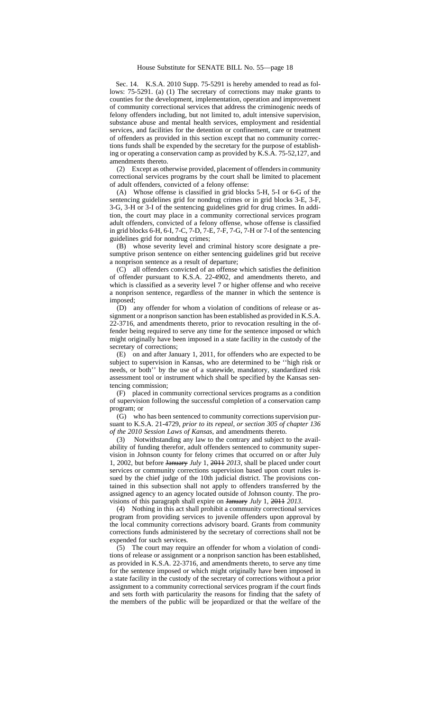Sec. 14. K.S.A. 2010 Supp. 75-5291 is hereby amended to read as follows: 75-5291. (a) (1) The secretary of corrections may make grants to counties for the development, implementation, operation and improvement of community correctional services that address the criminogenic needs of felony offenders including, but not limited to, adult intensive supervision, substance abuse and mental health services, employment and residential services, and facilities for the detention or confinement, care or treatment of offenders as provided in this section except that no community corrections funds shall be expended by the secretary for the purpose of establishing or operating a conservation camp as provided by K.S.A. 75-52,127*,* and amendments thereto.

(2) Except as otherwise provided, placement of offenders in community correctional services programs by the court shall be limited to placement of adult offenders, convicted of a felony offense:

(A) Whose offense is classified in grid blocks 5-H, 5-I or 6-G of the sentencing guidelines grid for nondrug crimes or in grid blocks 3-E, 3-F, 3-G, 3-H or 3-I of the sentencing guidelines grid for drug crimes. In addition, the court may place in a community correctional services program adult offenders, convicted of a felony offense, whose offense is classified in grid blocks 6-H, 6-I, 7-C, 7-D, 7-E, 7-F, 7-G, 7-H or 7-I of the sentencing guidelines grid for nondrug crimes;

(B) whose severity level and criminal history score designate a presumptive prison sentence on either sentencing guidelines grid but receive a nonprison sentence as a result of departure;

(C) all offenders convicted of an offense which satisfies the definition of offender pursuant to K.S.A. 22-4902, and amendments thereto, and which is classified as a severity level 7 or higher offense and who receive a nonprison sentence, regardless of the manner in which the sentence is imposed;

(D) any offender for whom a violation of conditions of release or assignment or a nonprison sanction has been established as provided in K.S.A. 22-3716, and amendments thereto, prior to revocation resulting in the offender being required to serve any time for the sentence imposed or which might originally have been imposed in a state facility in the custody of the secretary of corrections;

(E) on and after January 1, 2011, for offenders who are expected to be subject to supervision in Kansas, who are determined to be ''high risk or needs, or both'' by the use of a statewide, mandatory, standardized risk assessment tool or instrument which shall be specified by the Kansas sentencing commission;

(F) placed in community correctional services programs as a condition of supervision following the successful completion of a conservation camp program; or

(G) who has been sentenced to community corrections supervision pursuant to K.S.A. 21-4729, *prior to its repeal, or section 305 of chapter 136 of the 2010 Session Laws of Kansas,* and amendments thereto.

(3) Notwithstanding any law to the contrary and subject to the availability of funding therefor, adult offenders sentenced to community supervision in Johnson county for felony crimes that occurred on or after July 1, 2002, but before January *July* 1, 2011 *2013*, shall be placed under court services or community corrections supervision based upon court rules issued by the chief judge of the 10th judicial district. The provisions contained in this subsection shall not apply to offenders transferred by the assigned agency to an agency located outside of Johnson county. The provisions of this paragraph shall expire on January *July* 1, 2011 *2013*.

(4) Nothing in this act shall prohibit a community correctional services program from providing services to juvenile offenders upon approval by the local community corrections advisory board. Grants from community corrections funds administered by the secretary of corrections shall not be expended for such services.

(5) The court may require an offender for whom a violation of conditions of release or assignment or a nonprison sanction has been established, as provided in K.S.A. 22-3716, and amendments thereto, to serve any time for the sentence imposed or which might originally have been imposed in a state facility in the custody of the secretary of corrections without a prior assignment to a community correctional services program if the court finds and sets forth with particularity the reasons for finding that the safety of the members of the public will be jeopardized or that the welfare of the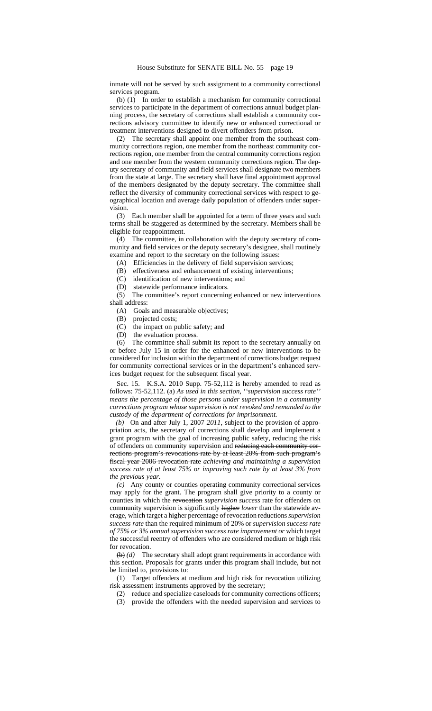inmate will not be served by such assignment to a community correctional services program.

(b) (1) In order to establish a mechanism for community correctional services to participate in the department of corrections annual budget planning process, the secretary of corrections shall establish a community corrections advisory committee to identify new or enhanced correctional or treatment interventions designed to divert offenders from prison.

(2) The secretary shall appoint one member from the southeast community corrections region, one member from the northeast community corrections region, one member from the central community corrections region and one member from the western community corrections region. The deputy secretary of community and field services shall designate two members from the state at large. The secretary shall have final appointment approval of the members designated by the deputy secretary. The committee shall reflect the diversity of community correctional services with respect to geographical location and average daily population of offenders under supervision.

(3) Each member shall be appointed for a term of three years and such terms shall be staggered as determined by the secretary. Members shall be eligible for reappointment.

(4) The committee, in collaboration with the deputy secretary of community and field services or the deputy secretary's designee, shall routinely examine and report to the secretary on the following issues:

(A) Efficiencies in the delivery of field supervision services;

(B) effectiveness and enhancement of existing interventions;

(C) identification of new interventions; and

(D) statewide performance indicators.

(5) The committee's report concerning enhanced or new interventions shall address:

(A) Goals and measurable objectives;

(B) projected costs;

(C) the impact on public safety; and

(D) the evaluation process.

(6) The committee shall submit its report to the secretary annually on or before July 15 in order for the enhanced or new interventions to be considered for inclusion within the department of corrections budget request for community correctional services or in the department's enhanced services budget request for the subsequent fiscal year.

Sec. 15. K.S.A. 2010 Supp. 75-52,112 is hereby amended to read as follows: 75-52,112. (a) *As used in this section, ''supervision success rate'' means the percentage of those persons under supervision in a community corrections program whose supervision is not revoked and remanded to the custody of the department of corrections for imprisonment.*

*(b)* On and after July 1, 2007 *2011*, subject to the provision of appropriation acts, the secretary of corrections shall develop and implement a grant program with the goal of increasing public safety, reducing the risk of offenders on community supervision and reducing each community corrections program's revocations rate by at least 20% from such program's fiscal year 2006 revocation rate *achieving and maintaining a supervision success rate of at least 75% or improving such rate by at least 3% from the previous year*.

*(c)* Any county or counties operating community correctional services may apply for the grant. The program shall give priority to a county or counties in which the revocation *supervision success* rate for offenders on community supervision is significantly higher *lower* than the statewide average, which target a higher percentage of revocation reductions*supervision success rate* than the required minimum of 20% or *supervision success rate of 75% or 3% annual supervision success rate improvement or* which target the successful reentry of offenders who are considered medium or high risk for revocation.

(b) *(d)* The secretary shall adopt grant requirements in accordance with this section. Proposals for grants under this program shall include, but not be limited to, provisions to:

(1) Target offenders at medium and high risk for revocation utilizing risk assessment instruments approved by the secretary;

- (2) reduce and specialize caseloads for community corrections officers;
- (3) provide the offenders with the needed supervision and services to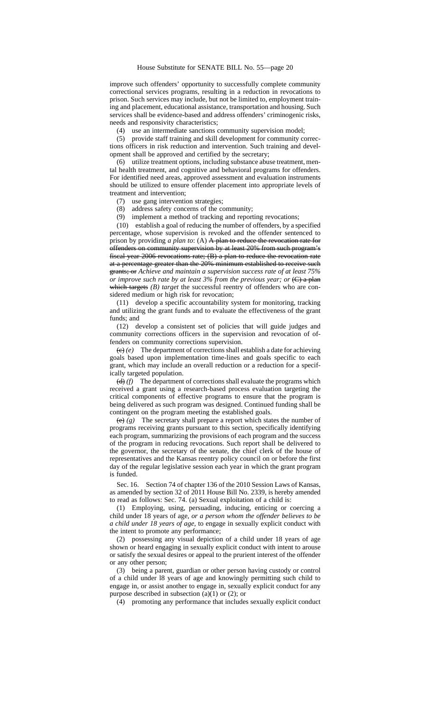improve such offenders' opportunity to successfully complete community correctional services programs, resulting in a reduction in revocations to prison. Such services may include, but not be limited to, employment training and placement, educational assistance, transportation and housing. Such services shall be evidence-based and address offenders' criminogenic risks, needs and responsivity characteristics;

(4) use an intermediate sanctions community supervision model;

(5) provide staff training and skill development for community corrections officers in risk reduction and intervention. Such training and development shall be approved and certified by the secretary;

(6) utilize treatment options, including substance abuse treatment, mental health treatment, and cognitive and behavioral programs for offenders. For identified need areas, approved assessment and evaluation instruments should be utilized to ensure offender placement into appropriate levels of treatment and intervention;

(7) use gang intervention strategies;

- (8) address safety concerns of the community;
- (9) implement a method of tracking and reporting revocations;

(10) establish a goal of reducing the number of offenders, by a specified percentage, whose supervision is revoked and the offender sentenced to prison by providing *a plan to*: (A) A plan to reduce the revocation rate for offenders on community supervision by at least 20% from such program's fiscal year 2006 revocations rate; (B) a plan to reduce the revocation rate at a percentage greater than the 20% minimum established to receive such grants; or *Achieve and maintain a supervision success rate of at least 75% or improve such rate by at least 3% from the previous year; or*  $\left(\frac{C}{C}\right)$  a plan which targets *(B)* target the successful reentry of offenders who are considered medium or high risk for revocation;

(11) develop a specific accountability system for monitoring, tracking and utilizing the grant funds and to evaluate the effectiveness of the grant funds; and

(12) develop a consistent set of policies that will guide judges and community corrections officers in the supervision and revocation of offenders on community corrections supervision.

 $(e)$  (e) The department of corrections shall establish a date for achieving goals based upon implementation time-lines and goals specific to each grant, which may include an overall reduction or a reduction for a specifically targeted population.

 $(d)$  *(f)* The department of corrections shall evaluate the programs which received a grant using a research-based process evaluation targeting the critical components of effective programs to ensure that the program is being delivered as such program was designed. Continued funding shall be contingent on the program meeting the established goals.

(e) *(g)* The secretary shall prepare a report which states the number of programs receiving grants pursuant to this section, specifically identifying each program, summarizing the provisions of each program and the success of the program in reducing revocations. Such report shall be delivered to the governor, the secretary of the senate, the chief clerk of the house of representatives and the Kansas reentry policy council on or before the first day of the regular legislative session each year in which the grant program is funded.

Sec. 16. Section 74 of chapter 136 of the 2010 Session Laws of Kansas, as amended by section 32 of 2011 House Bill No. 2339, is hereby amended to read as follows: Sec. 74. (a) Sexual exploitation of a child is:

(1) Employing, using, persuading, inducing, enticing or coercing a child under 18 years of age*, or a person whom the offender believes to be a child under 18 years of age,* to engage in sexually explicit conduct with the intent to promote any performance;

(2) possessing any visual depiction of a child under 18 years of age shown or heard engaging in sexually explicit conduct with intent to arouse or satisfy the sexual desires or appeal to the prurient interest of the offender or any other person;

(3) being a parent, guardian or other person having custody or control of a child under l8 years of age and knowingly permitting such child to engage in, or assist another to engage in, sexually explicit conduct for any purpose described in subsection (a)(1) or (2); or

(4) promoting any performance that includes sexually explicit conduct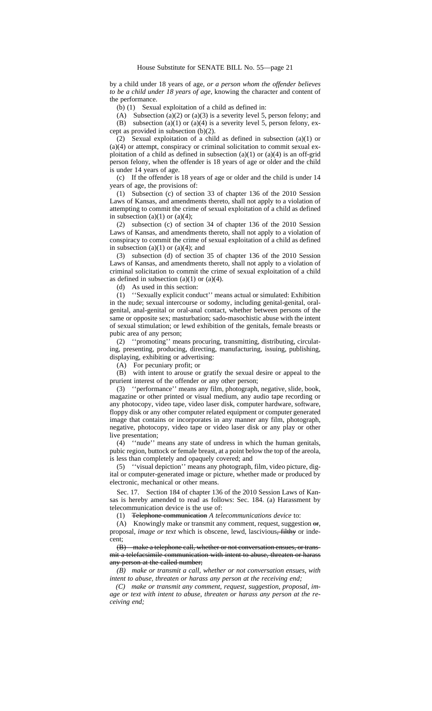by a child under 18 years of age, *or a person whom the offender believes to be a child under 18 years of age,* knowing the character and content of the performance.

(b) (1) Sexual exploitation of a child as defined in:

(A) Subsection (a)(2) or (a)(3) is a severity level 5, person felony; and (B) subsection (a)(1) or (a)(4) is a severity level 5, person felony, except as provided in subsection (b)(2).

(2) Sexual exploitation of a child as defined in subsection (a)(1) or (a)(4) or attempt, conspiracy or criminal solicitation to commit sexual exploitation of a child as defined in subsection (a)(1) or (a)(4) is an off-grid person felony, when the offender is 18 years of age or older and the child is under 14 years of age.

(c) If the offender is 18 years of age or older and the child is under 14 years of age, the provisions of:

(1) Subsection (c) of section 33 of chapter 136 of the 2010 Session Laws of Kansas, and amendments thereto, shall not apply to a violation of attempting to commit the crime of sexual exploitation of a child as defined in subsection (a)(1) or (a)(4);

(2) subsection (c) of section 34 of chapter 136 of the 2010 Session Laws of Kansas, and amendments thereto, shall not apply to a violation of conspiracy to commit the crime of sexual exploitation of a child as defined in subsection  $(a)(1)$  or  $(a)(4)$ ; and

(3) subsection (d) of section 35 of chapter 136 of the 2010 Session Laws of Kansas, and amendments thereto, shall not apply to a violation of criminal solicitation to commit the crime of sexual exploitation of a child as defined in subsection (a)(1) or (a)(4).

(d) As used in this section:

(1) ''Sexually explicit conduct'' means actual or simulated: Exhibition in the nude; sexual intercourse or sodomy, including genital-genital, oralgenital, anal-genital or oral-anal contact, whether between persons of the same or opposite sex; masturbation; sado-masochistic abuse with the intent of sexual stimulation; or lewd exhibition of the genitals, female breasts or pubic area of any person;

(2) ''promoting'' means procuring, transmitting, distributing, circulating, presenting, producing, directing, manufacturing, issuing, publishing, displaying, exhibiting or advertising:

(A) For pecuniary profit; or

(B) with intent to arouse or gratify the sexual desire or appeal to the prurient interest of the offender or any other person;

(3) ''performance'' means any film, photograph, negative, slide, book, magazine or other printed or visual medium, any audio tape recording or any photocopy, video tape, video laser disk, computer hardware, software, floppy disk or any other computer related equipment or computer generated image that contains or incorporates in any manner any film, photograph, negative, photocopy, video tape or video laser disk or any play or other live presentation;

(4) ''nude'' means any state of undress in which the human genitals, pubic region, buttock or female breast, at a point below the top of the areola, is less than completely and opaquely covered; and

(5) ''visual depiction'' means any photograph, film, video picture, digital or computer-generated image or picture, whether made or produced by electronic, mechanical or other means.

Sec. 17. Section 184 of chapter 136 of the 2010 Session Laws of Kansas is hereby amended to read as follows: Sec. 184. (a) Harassment by telecommunication device is the use of:

(1) Telephone communication *A telecommunications device* to:

(A) Knowingly make or transmit any comment, request, suggestion or*,* proposal*, image or text* which is obscene, lewd, lascivious, filthy or indecent;

(B) make a telephone call, whether or not conversation ensues, or transmit a telefacsimile communication with intent to abuse, threaten or harass any person at the called number;

*(B) make or transmit a call, whether or not conversation ensues, with intent to abuse, threaten or harass any person at the receiving end;*

*(C) make or transmit any comment, request, suggestion, proposal, image or text with intent to abuse, threaten or harass any person at the receiving end;*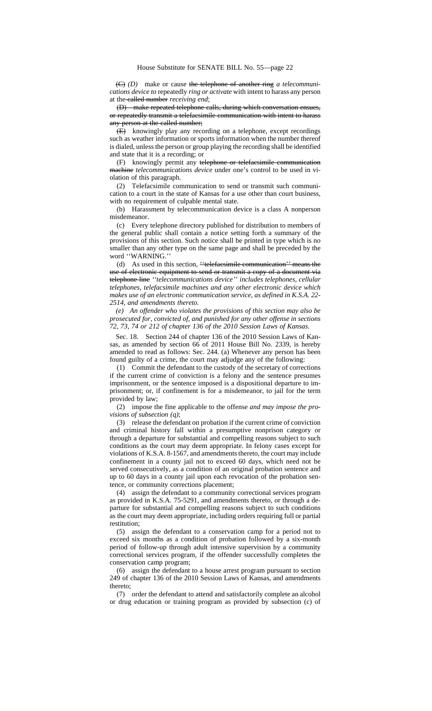(C) *(D)* make or cause the telephone of another ring *a telecommunications device to* repeatedly *ring or activate* with intent to harass any person at the called number *receiving end*;

(D) make repeated telephone calls, during which conversation ensues, or repeatedly transmit a telefacsimile communication with intent to harass any person at the called number;

(E) knowingly play any recording on a telephone, except recordings such as weather information or sports information when the number thereof is dialed, unless the person or group playing the recording shall be identified and state that it is a recording; or

(F) knowingly permit any telephone or telefacsimile communication machine *telecommunications device* under one's control to be used in violation of this paragraph.

(2) Telefacsimile communication to send or transmit such communication to a court in the state of Kansas for a use other than court business, with no requirement of culpable mental state.

(b) Harassment by telecommunication device is a class A nonperson misdemeanor.

(c) Every telephone directory published for distribution to members of the general public shall contain a notice setting forth a summary of the provisions of this section. Such notice shall be printed in type which is no smaller than any other type on the same page and shall be preceded by the word ''WARNING.''

(d) As used in this section, "telefacsimile communication" means the use of electronic equipment to send or transmit a copy of a document via telephone line *''telecommunications device'' includes telephones, cellular telephones, telefacsimile machines and any other electronic device which makes use of an electronic communication service, as defined in K.S.A. 22- 2514, and amendments thereto.*

*(e) An offender who violates the provisions of this section may also be prosecuted for, convicted of, and punished for any other offense in sections 72, 73, 74 or 212 of chapter 136 of the 2010 Session Laws of Kansas.*

Sec. 18. Section 244 of chapter 136 of the 2010 Session Laws of Kansas, as amended by section 66 of 2011 House Bill No. 2339, is hereby amended to read as follows: Sec. 244. (a) Whenever any person has been found guilty of a crime, the court may adjudge any of the following:

(1) Commit the defendant to the custody of the secretary of corrections if the current crime of conviction is a felony and the sentence presumes imprisonment, or the sentence imposed is a dispositional departure to imprisonment; or, if confinement is for a misdemeanor, to jail for the term provided by law;

(2) impose the fine applicable to the offense *and may impose the provisions of subsection (q)*;

(3) release the defendant on probation if the current crime of conviction and criminal history fall within a presumptive nonprison category or through a departure for substantial and compelling reasons subject to such conditions as the court may deem appropriate. In felony cases except for violations of K.S.A. 8-1567, and amendments thereto, the court may include confinement in a county jail not to exceed 60 days, which need not be served consecutively, as a condition of an original probation sentence and up to 60 days in a county jail upon each revocation of the probation sentence, or community corrections placement;

(4) assign the defendant to a community correctional services program as provided in K.S.A. 75-5291, and amendments thereto, or through a departure for substantial and compelling reasons subject to such conditions as the court may deem appropriate, including orders requiring full or partial restitution;

(5) assign the defendant to a conservation camp for a period not to exceed six months as a condition of probation followed by a six-month period of follow-up through adult intensive supervision by a community correctional services program, if the offender successfully completes the conservation camp program;

(6) assign the defendant to a house arrest program pursuant to section 249 of chapter 136 of the 2010 Session Laws of Kansas, and amendments thereto;

(7) order the defendant to attend and satisfactorily complete an alcohol or drug education or training program as provided by subsection (c) of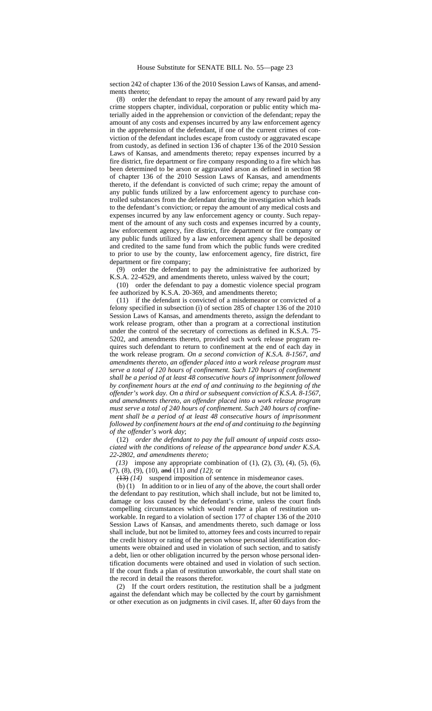section 242 of chapter 136 of the 2010 Session Laws of Kansas, and amendments thereto;

(8) order the defendant to repay the amount of any reward paid by any crime stoppers chapter, individual, corporation or public entity which materially aided in the apprehension or conviction of the defendant; repay the amount of any costs and expenses incurred by any law enforcement agency in the apprehension of the defendant, if one of the current crimes of conviction of the defendant includes escape from custody or aggravated escape from custody, as defined in section 136 of chapter 136 of the 2010 Session Laws of Kansas, and amendments thereto; repay expenses incurred by a fire district, fire department or fire company responding to a fire which has been determined to be arson or aggravated arson as defined in section 98 of chapter 136 of the 2010 Session Laws of Kansas, and amendments thereto, if the defendant is convicted of such crime; repay the amount of any public funds utilized by a law enforcement agency to purchase controlled substances from the defendant during the investigation which leads to the defendant's conviction; or repay the amount of any medical costs and expenses incurred by any law enforcement agency or county. Such repayment of the amount of any such costs and expenses incurred by a county, law enforcement agency, fire district, fire department or fire company or any public funds utilized by a law enforcement agency shall be deposited and credited to the same fund from which the public funds were credited to prior to use by the county, law enforcement agency, fire district, fire department or fire company;

(9) order the defendant to pay the administrative fee authorized by K.S.A. 22-4529, and amendments thereto, unless waived by the court;

(10) order the defendant to pay a domestic violence special program fee authorized by K.S.A. 20-369, and amendments thereto;

(11) if the defendant is convicted of a misdemeanor or convicted of a felony specified in subsection (i) of section 285 of chapter 136 of the 2010 Session Laws of Kansas, and amendments thereto, assign the defendant to work release program, other than a program at a correctional institution under the control of the secretary of corrections as defined in K.S.A. 75- 5202, and amendments thereto, provided such work release program requires such defendant to return to confinement at the end of each day in the work release program*. On a second conviction of K.S.A. 8-1567, and amendments thereto, an offender placed into a work release program must serve a total of 120 hours of confinement. Such 120 hours of confinement shall be a period of at least 48 consecutive hours of imprisonment followed by confinement hours at the end of and continuing to the beginning of the offender's work day. On a third or subsequent conviction of K.S.A. 8-1567, and amendments thereto, an offender placed into a work release program must serve a total of 240 hours of confinement. Such 240 hours of confinement shall be a period of at least 48 consecutive hours of imprisonment followed by confinement hours at the end of and continuing to the beginning of the offender's work day*;

(12) *order the defendant to pay the full amount of unpaid costs associated with the conditions of release of the appearance bond under K.S.A. 22-2802, and amendments thereto;*

*(13)* impose any appropriate combination of (1), (2), (3), (4), (5), (6), (7), (8), (9), (10)*,* and (11) *and (12)*; or

(13) *(14)* suspend imposition of sentence in misdemeanor cases.

(b) (1) In addition to or in lieu of any of the above, the court shall order the defendant to pay restitution, which shall include, but not be limited to, damage or loss caused by the defendant's crime, unless the court finds compelling circumstances which would render a plan of restitution unworkable. In regard to a violation of section 177 of chapter 136 of the 2010 Session Laws of Kansas, and amendments thereto, such damage or loss shall include, but not be limited to, attorney fees and costs incurred to repair the credit history or rating of the person whose personal identification documents were obtained and used in violation of such section, and to satisfy a debt, lien or other obligation incurred by the person whose personal identification documents were obtained and used in violation of such section. If the court finds a plan of restitution unworkable, the court shall state on the record in detail the reasons therefor.

(2) If the court orders restitution, the restitution shall be a judgment against the defendant which may be collected by the court by garnishment or other execution as on judgments in civil cases. If, after 60 days from the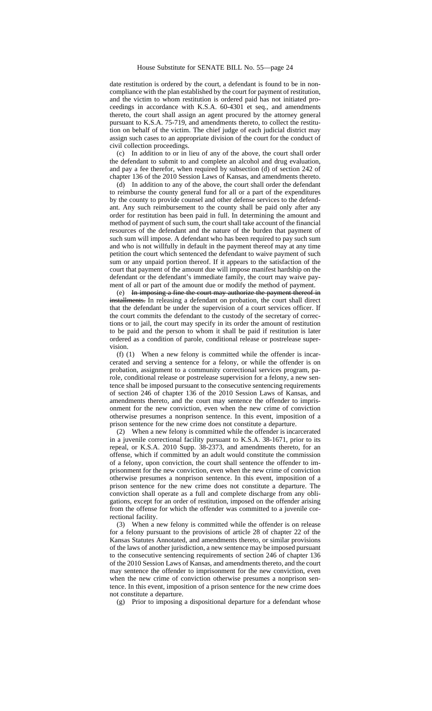date restitution is ordered by the court, a defendant is found to be in noncompliance with the plan established by the court for payment of restitution, and the victim to whom restitution is ordered paid has not initiated proceedings in accordance with K.S.A. 60-4301 et seq., and amendments thereto, the court shall assign an agent procured by the attorney general pursuant to K.S.A. 75-719, and amendments thereto, to collect the restitution on behalf of the victim. The chief judge of each judicial district may assign such cases to an appropriate division of the court for the conduct of civil collection proceedings.

(c) In addition to or in lieu of any of the above, the court shall order the defendant to submit to and complete an alcohol and drug evaluation, and pay a fee therefor, when required by subsection (d) of section 242 of chapter 136 of the 2010 Session Laws of Kansas, and amendments thereto.

(d) In addition to any of the above, the court shall order the defendant to reimburse the county general fund for all or a part of the expenditures by the county to provide counsel and other defense services to the defendant. Any such reimbursement to the county shall be paid only after any order for restitution has been paid in full. In determining the amount and method of payment of such sum, the court shall take account of the financial resources of the defendant and the nature of the burden that payment of such sum will impose. A defendant who has been required to pay such sum and who is not willfully in default in the payment thereof may at any time petition the court which sentenced the defendant to waive payment of such sum or any unpaid portion thereof. If it appears to the satisfaction of the court that payment of the amount due will impose manifest hardship on the defendant or the defendant's immediate family, the court may waive payment of all or part of the amount due or modify the method of payment.

(e) In imposing a fine the court may authorize the payment thereof in installments. In releasing a defendant on probation, the court shall direct that the defendant be under the supervision of a court services officer. If the court commits the defendant to the custody of the secretary of corrections or to jail, the court may specify in its order the amount of restitution to be paid and the person to whom it shall be paid if restitution is later ordered as a condition of parole, conditional release or postrelease supervision.

(f) (1) When a new felony is committed while the offender is incarcerated and serving a sentence for a felony, or while the offender is on probation, assignment to a community correctional services program, parole, conditional release or postrelease supervision for a felony, a new sentence shall be imposed pursuant to the consecutive sentencing requirements of section 246 of chapter 136 of the 2010 Session Laws of Kansas, and amendments thereto, and the court may sentence the offender to imprisonment for the new conviction, even when the new crime of conviction otherwise presumes a nonprison sentence. In this event, imposition of a prison sentence for the new crime does not constitute a departure.

(2) When a new felony is committed while the offender is incarcerated in a juvenile correctional facility pursuant to K.S.A. 38-1671, prior to its repeal, or K.S.A. 2010 Supp. 38-2373, and amendments thereto, for an offense, which if committed by an adult would constitute the commission of a felony, upon conviction, the court shall sentence the offender to imprisonment for the new conviction, even when the new crime of conviction otherwise presumes a nonprison sentence. In this event, imposition of a prison sentence for the new crime does not constitute a departure. The conviction shall operate as a full and complete discharge from any obligations, except for an order of restitution, imposed on the offender arising from the offense for which the offender was committed to a juvenile correctional facility.

(3) When a new felony is committed while the offender is on release for a felony pursuant to the provisions of article 28 of chapter 22 of the Kansas Statutes Annotated, and amendments thereto, or similar provisions of the laws of another jurisdiction, a new sentence may be imposed pursuant to the consecutive sentencing requirements of section 246 of chapter 136 of the 2010 Session Laws of Kansas, and amendments thereto, and the court may sentence the offender to imprisonment for the new conviction, even when the new crime of conviction otherwise presumes a nonprison sentence. In this event, imposition of a prison sentence for the new crime does not constitute a departure.

(g) Prior to imposing a dispositional departure for a defendant whose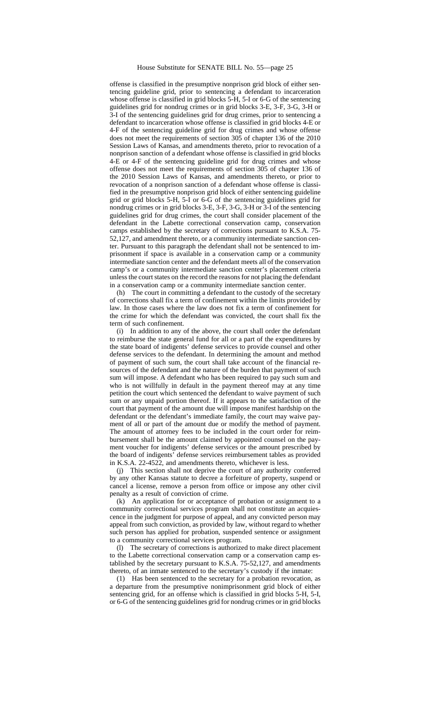offense is classified in the presumptive nonprison grid block of either sentencing guideline grid, prior to sentencing a defendant to incarceration whose offense is classified in grid blocks 5-H, 5-I or 6-G of the sentencing guidelines grid for nondrug crimes or in grid blocks 3-E, 3-F, 3-G, 3-H or 3-I of the sentencing guidelines grid for drug crimes, prior to sentencing a defendant to incarceration whose offense is classified in grid blocks 4-E or 4-F of the sentencing guideline grid for drug crimes and whose offense does not meet the requirements of section 305 of chapter 136 of the 2010 Session Laws of Kansas, and amendments thereto, prior to revocation of a nonprison sanction of a defendant whose offense is classified in grid blocks 4-E or 4-F of the sentencing guideline grid for drug crimes and whose offense does not meet the requirements of section 305 of chapter 136 of the 2010 Session Laws of Kansas, and amendments thereto, or prior to revocation of a nonprison sanction of a defendant whose offense is classified in the presumptive nonprison grid block of either sentencing guideline grid or grid blocks 5-H, 5-I or 6-G of the sentencing guidelines grid for nondrug crimes or in grid blocks 3-E, 3-F, 3-G, 3-H or 3-I of the sentencing guidelines grid for drug crimes, the court shall consider placement of the defendant in the Labette correctional conservation camp, conservation camps established by the secretary of corrections pursuant to K.S.A. 75- 52,127, and amendment thereto, or a community intermediate sanction center. Pursuant to this paragraph the defendant shall not be sentenced to imprisonment if space is available in a conservation camp or a community intermediate sanction center and the defendant meets all of the conservation camp's or a community intermediate sanction center's placement criteria unless the court states on the record the reasons for not placing the defendant in a conservation camp or a community intermediate sanction center.

(h) The court in committing a defendant to the custody of the secretary of corrections shall fix a term of confinement within the limits provided by law. In those cases where the law does not fix a term of confinement for the crime for which the defendant was convicted, the court shall fix the term of such confinement.

(i) In addition to any of the above, the court shall order the defendant to reimburse the state general fund for all or a part of the expenditures by the state board of indigents' defense services to provide counsel and other defense services to the defendant. In determining the amount and method of payment of such sum, the court shall take account of the financial resources of the defendant and the nature of the burden that payment of such sum will impose. A defendant who has been required to pay such sum and who is not willfully in default in the payment thereof may at any time petition the court which sentenced the defendant to waive payment of such sum or any unpaid portion thereof. If it appears to the satisfaction of the court that payment of the amount due will impose manifest hardship on the defendant or the defendant's immediate family, the court may waive payment of all or part of the amount due or modify the method of payment. The amount of attorney fees to be included in the court order for reimbursement shall be the amount claimed by appointed counsel on the payment voucher for indigents' defense services or the amount prescribed by the board of indigents' defense services reimbursement tables as provided in K.S.A. 22-4522, and amendments thereto, whichever is less.

(j) This section shall not deprive the court of any authority conferred by any other Kansas statute to decree a forfeiture of property, suspend or cancel a license, remove a person from office or impose any other civil penalty as a result of conviction of crime.

(k) An application for or acceptance of probation or assignment to a community correctional services program shall not constitute an acquiescence in the judgment for purpose of appeal, and any convicted person may appeal from such conviction, as provided by law, without regard to whether such person has applied for probation, suspended sentence or assignment to a community correctional services program.

(l) The secretary of corrections is authorized to make direct placement to the Labette correctional conservation camp or a conservation camp established by the secretary pursuant to K.S.A. 75-52,127, and amendments thereto, of an inmate sentenced to the secretary's custody if the inmate:

(1) Has been sentenced to the secretary for a probation revocation, as a departure from the presumptive nonimprisonment grid block of either sentencing grid, for an offense which is classified in grid blocks 5-H, 5-I, or 6-G of the sentencing guidelines grid for nondrug crimes or in grid blocks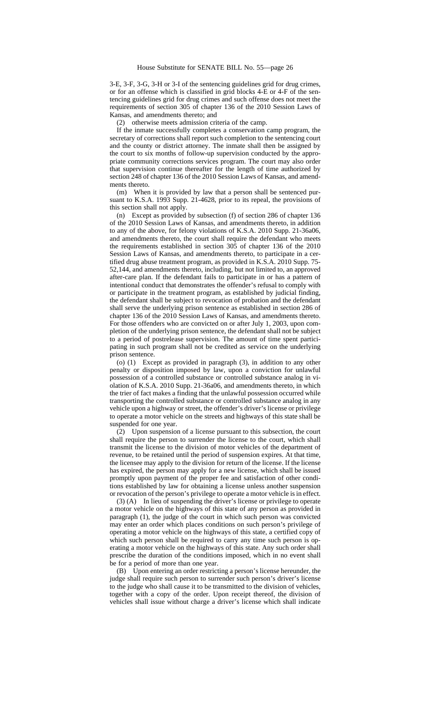3-E, 3-F, 3-G, 3-H or 3-I of the sentencing guidelines grid for drug crimes, or for an offense which is classified in grid blocks 4-E or 4-F of the sentencing guidelines grid for drug crimes and such offense does not meet the requirements of section 305 of chapter 136 of the 2010 Session Laws of Kansas, and amendments thereto; and

(2) otherwise meets admission criteria of the camp.

If the inmate successfully completes a conservation camp program, the secretary of corrections shall report such completion to the sentencing court and the county or district attorney. The inmate shall then be assigned by the court to six months of follow-up supervision conducted by the appropriate community corrections services program. The court may also order that supervision continue thereafter for the length of time authorized by section 248 of chapter 136 of the 2010 Session Laws of Kansas, and amendments thereto.

(m) When it is provided by law that a person shall be sentenced pursuant to K.S.A. 1993 Supp. 21-4628, prior to its repeal, the provisions of this section shall not apply.

(n) Except as provided by subsection (f) of section 286 of chapter 136 of the 2010 Session Laws of Kansas, and amendments thereto, in addition to any of the above, for felony violations of K.S.A. 2010 Supp. 21-36a06, and amendments thereto, the court shall require the defendant who meets the requirements established in section 305 of chapter 136 of the 2010 Session Laws of Kansas, and amendments thereto, to participate in a certified drug abuse treatment program, as provided in K.S.A. 2010 Supp. 75- 52,144, and amendments thereto, including, but not limited to, an approved after-care plan. If the defendant fails to participate in or has a pattern of intentional conduct that demonstrates the offender's refusal to comply with or participate in the treatment program, as established by judicial finding, the defendant shall be subject to revocation of probation and the defendant shall serve the underlying prison sentence as established in section 286 of chapter 136 of the 2010 Session Laws of Kansas, and amendments thereto. For those offenders who are convicted on or after July 1, 2003, upon completion of the underlying prison sentence, the defendant shall not be subject to a period of postrelease supervision. The amount of time spent participating in such program shall not be credited as service on the underlying prison sentence.

(o) (1) Except as provided in paragraph (3), in addition to any other penalty or disposition imposed by law, upon a conviction for unlawful possession of a controlled substance or controlled substance analog in violation of K.S.A. 2010 Supp. 21-36a06, and amendments thereto, in which the trier of fact makes a finding that the unlawful possession occurred while transporting the controlled substance or controlled substance analog in any vehicle upon a highway or street, the offender's driver's license or privilege to operate a motor vehicle on the streets and highways of this state shall be suspended for one year.

(2) Upon suspension of a license pursuant to this subsection, the court shall require the person to surrender the license to the court, which shall transmit the license to the division of motor vehicles of the department of revenue, to be retained until the period of suspension expires. At that time, the licensee may apply to the division for return of the license. If the license has expired, the person may apply for a new license, which shall be issued promptly upon payment of the proper fee and satisfaction of other conditions established by law for obtaining a license unless another suspension or revocation of the person's privilege to operate a motor vehicle is in effect.

(3) (A) In lieu of suspending the driver's license or privilege to operate a motor vehicle on the highways of this state of any person as provided in paragraph (1), the judge of the court in which such person was convicted may enter an order which places conditions on such person's privilege of operating a motor vehicle on the highways of this state, a certified copy of which such person shall be required to carry any time such person is operating a motor vehicle on the highways of this state. Any such order shall prescribe the duration of the conditions imposed, which in no event shall be for a period of more than one year.

(B) Upon entering an order restricting a person's license hereunder, the judge shall require such person to surrender such person's driver's license to the judge who shall cause it to be transmitted to the division of vehicles, together with a copy of the order. Upon receipt thereof, the division of vehicles shall issue without charge a driver's license which shall indicate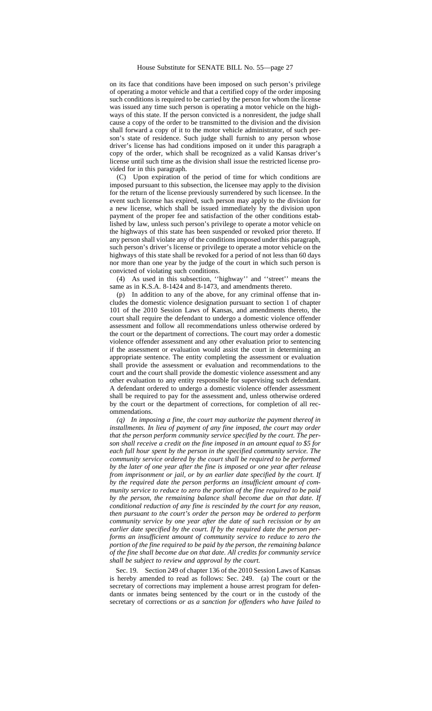on its face that conditions have been imposed on such person's privilege of operating a motor vehicle and that a certified copy of the order imposing such conditions is required to be carried by the person for whom the license was issued any time such person is operating a motor vehicle on the highways of this state. If the person convicted is a nonresident, the judge shall cause a copy of the order to be transmitted to the division and the division shall forward a copy of it to the motor vehicle administrator, of such person's state of residence. Such judge shall furnish to any person whose driver's license has had conditions imposed on it under this paragraph a copy of the order, which shall be recognized as a valid Kansas driver's license until such time as the division shall issue the restricted license provided for in this paragraph.

(C) Upon expiration of the period of time for which conditions are imposed pursuant to this subsection, the licensee may apply to the division for the return of the license previously surrendered by such licensee. In the event such license has expired, such person may apply to the division for a new license, which shall be issued immediately by the division upon payment of the proper fee and satisfaction of the other conditions established by law, unless such person's privilege to operate a motor vehicle on the highways of this state has been suspended or revoked prior thereto. If any person shall violate any of the conditions imposed under this paragraph, such person's driver's license or privilege to operate a motor vehicle on the highways of this state shall be revoked for a period of not less than 60 days nor more than one year by the judge of the court in which such person is convicted of violating such conditions.

(4) As used in this subsection, ''highway'' and ''street'' means the same as in K.S.A. 8-1424 and 8-1473, and amendments thereto.

(p) In addition to any of the above, for any criminal offense that includes the domestic violence designation pursuant to section 1 of chapter 101 of the 2010 Session Laws of Kansas, and amendments thereto, the court shall require the defendant to undergo a domestic violence offender assessment and follow all recommendations unless otherwise ordered by the court or the department of corrections. The court may order a domestic violence offender assessment and any other evaluation prior to sentencing if the assessment or evaluation would assist the court in determining an appropriate sentence. The entity completing the assessment or evaluation shall provide the assessment or evaluation and recommendations to the court and the court shall provide the domestic violence assessment and any other evaluation to any entity responsible for supervising such defendant. A defendant ordered to undergo a domestic violence offender assessment shall be required to pay for the assessment and, unless otherwise ordered by the court or the department of corrections, for completion of all recommendations.

*(q) In imposing a fine, the court may authorize the payment thereof in installments. In lieu of payment of any fine imposed, the court may order that the person perform community service specified by the court. The person shall receive a credit on the fine imposed in an amount equal to \$5 for each full hour spent by the person in the specified community service. The community service ordered by the court shall be required to be performed by the later of one year after the fine is imposed or one year after release from imprisonment or jail, or by an earlier date specified by the court. If by the required date the person performs an insufficient amount of community service to reduce to zero the portion of the fine required to be paid by the person, the remaining balance shall become due on that date. If conditional reduction of any fine is rescinded by the court for any reason, then pursuant to the court's order the person may be ordered to perform community service by one year after the date of such recission or by an earlier date specified by the court. If by the required date the person performs an insufficient amount of community service to reduce to zero the portion of the fine required to be paid by the person, the remaining balance of the fine shall become due on that date. All credits for community service shall be subject to review and approval by the court.*

Sec. 19. Section 249 of chapter 136 of the 2010 Session Laws of Kansas is hereby amended to read as follows: Sec. 249. (a) The court or the secretary of corrections may implement a house arrest program for defendants or inmates being sentenced by the court or in the custody of the secretary of corrections *or as a sanction for offenders who have failed to*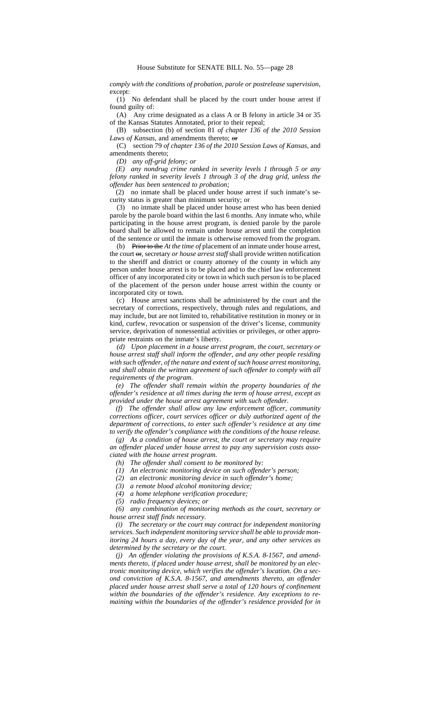*comply with the conditions of probation, parole or postrelease supervision*, except:

(1) No defendant shall be placed by the court under house arrest if found guilty of:

(A) Any crime designated as a class A or B felony in article 34 or 35 of the Kansas Statutes Annotated, prior to their repeal;

(B) subsection (b) of section 81 *of chapter 136 of the 2010 Session* Laws of Kansas, and amendments thereto; or

(C) section 79 *of chapter 136 of the 2010 Session Laws of Kansas*, and amendments thereto;

*(D) any off-grid felony; or*

*(E) any nondrug crime ranked in severity levels 1 through 5 or any felony ranked in severity levels 1 through 3 of the drug grid, unless the offender has been sentenced to probation;*

(2) no inmate shall be placed under house arrest if such inmate's security status is greater than minimum security; or

(3) no inmate shall be placed under house arrest who has been denied parole by the parole board within the last 6 months. Any inmate who, while participating in the house arrest program, is denied parole by the parole board shall be allowed to remain under house arrest until the completion of the sentence or until the inmate is otherwise removed from the program.

(b) Prior to the *At the time of* placement of an inmate under house arrest, the court  $\Theta$ , secretary *or house arrest staff* shall provide written notification to the sheriff and district or county attorney of the county in which any person under house arrest is to be placed and to the chief law enforcement officer of any incorporated city or town in which such person is to be placed of the placement of the person under house arrest within the county or incorporated city or town.

(c) House arrest sanctions shall be administered by the court and the secretary of corrections, respectively, through rules and regulations, and may include, but are not limited to, rehabilitative restitution in money or in kind, curfew, revocation or suspension of the driver's license, community service, deprivation of nonessential activities or privileges, or other appropriate restraints on the inmate's liberty.

*(d) Upon placement in a house arrest program, the court, secretary or house arrest staff shall inform the offender, and any other people residing with such offender, of the nature and extent of such house arrest monitoring, and shall obtain the written agreement of such offender to comply with all requirements of the program.*

*(e) The offender shall remain within the property boundaries of the offender's residence at all times during the term of house arrest, except as provided under the house arrest agreement with such offender.*

*(f) The offender shall allow any law enforcement officer, community corrections officer, court services officer or duly authorized agent of the department of corrections, to enter such offender's residence at any time to verify the offender's compliance with the conditions of the house release.*

*(g) As a condition of house arrest, the court or secretary may require an offender placed under house arrest to pay any supervision costs associated with the house arrest program.*

*(h) The offender shall consent to be monitored by:*

*(1) An electronic monitoring device on such offender's person;*

- *(2) an electronic monitoring device in such offender's home;*
- *(3) a remote blood alcohol monitoring device;*

*(4) a home telephone verification procedure;*

*(5) radio frequency devices; or*

*(6) any combination of monitoring methods as the court, secretary or house arrest staff finds necessary.*

*(i) The secretary or the court may contract for independent monitoring services. Such independent monitoring service shall be able to provide monitoring 24 hours a day, every day of the year, and any other services as determined by the secretary or the court.*

*(j) An offender violating the provisions of K.S.A. 8-1567, and amendments thereto, if placed under house arrest, shall be monitored by an electronic monitoring device, which verifies the offender's location. On a second conviction of K.S.A. 8-1567, and amendments thereto, an offender placed under house arrest shall serve a total of 120 hours of confinement within the boundaries of the offender's residence. Any exceptions to remaining within the boundaries of the offender's residence provided for in*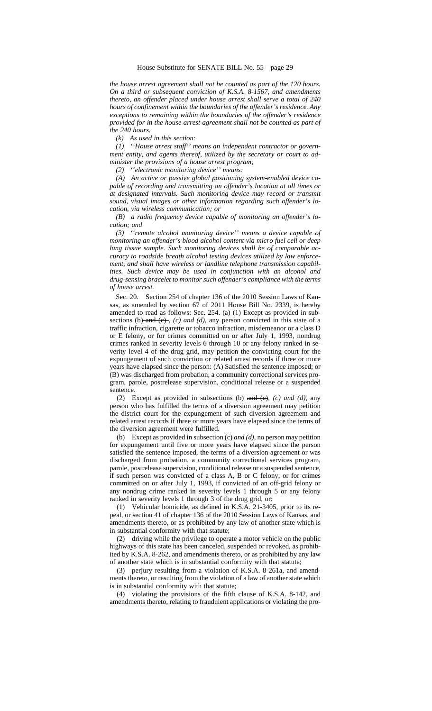*the house arrest agreement shall not be counted as part of the 120 hours. On a third or subsequent conviction of K.S.A. 8-1567, and amendments thereto, an offender placed under house arrest shall serve a total of 240 hours of confinement within the boundaries of the offender's residence. Any exceptions to remaining within the boundaries of the offender's residence provided for in the house arrest agreement shall not be counted as part of the 240 hours.*

*(k) As used in this section:*

*(1) ''House arrest staff'' means an independent contractor or government entity, and agents thereof, utilized by the secretary or court to administer the provisions of a house arrest program;*

*(2) ''electronic monitoring device'' means:*

*(A) An active or passive global positioning system-enabled device capable of recording and transmitting an offender's location at all times or at designated intervals. Such monitoring device may record or transmit sound, visual images or other information regarding such offender's location, via wireless communication; or*

*(B) a radio frequency device capable of monitoring an offender's location; and*

*(3) ''remote alcohol monitoring device'' means a device capable of monitoring an offender's blood alcohol content via micro fuel cell or deep lung tissue sample. Such monitoring devices shall be of comparable accuracy to roadside breath alcohol testing devices utilized by law enforcement, and shall have wireless or landline telephone transmission capabilities. Such device may be used in conjunction with an alcohol and drug-sensing bracelet to monitor such offender's compliance with the terms of house arrest.*

Sec. 20. Section 254 of chapter 136 of the 2010 Session Laws of Kansas, as amended by section 67 of 2011 House Bill No. 2339, is hereby amended to read as follows: Sec. 254. (a) (1) Except as provided in subsections (b) and  $(e)$ ,  $(c)$  *and (d)*, any person convicted in this state of a traffic infraction, cigarette or tobacco infraction, misdemeanor or a class D or E felony, or for crimes committed on or after July 1, 1993, nondrug crimes ranked in severity levels 6 through 10 or any felony ranked in severity level 4 of the drug grid, may petition the convicting court for the expungement of such conviction or related arrest records if three or more years have elapsed since the person: (A) Satisfied the sentence imposed; or (B) was discharged from probation, a community correctional services program, parole, postrelease supervision, conditional release or a suspended sentence.

(2) Except as provided in subsections (b) and (c)*, (c) and (d)*, any person who has fulfilled the terms of a diversion agreement may petition the district court for the expungement of such diversion agreement and related arrest records if three or more years have elapsed since the terms of the diversion agreement were fulfilled.

(b) Except as provided in subsection (c) *and (d)*, no person may petition for expungement until five or more years have elapsed since the person satisfied the sentence imposed, the terms of a diversion agreement or was discharged from probation, a community correctional services program, parole, postrelease supervision, conditional release or a suspended sentence, if such person was convicted of a class A, B or C felony, or for crimes committed on or after July 1, 1993, if convicted of an off-grid felony or any nondrug crime ranked in severity levels 1 through 5 or any felony ranked in severity levels 1 through 3 of the drug grid, or:

(1) Vehicular homicide, as defined in K.S.A. 21-3405, prior to its repeal, or section 41 of chapter 136 of the 2010 Session Laws of Kansas, and amendments thereto, or as prohibited by any law of another state which is in substantial conformity with that statute;

(2) driving while the privilege to operate a motor vehicle on the public highways of this state has been canceled, suspended or revoked, as prohibited by K.S.A. 8-262, and amendments thereto, or as prohibited by any law of another state which is in substantial conformity with that statute;

(3) perjury resulting from a violation of K.S.A. 8-261a, and amendments thereto, or resulting from the violation of a law of another state which is in substantial conformity with that statute;

(4) violating the provisions of the fifth clause of K.S.A. 8-142, and amendments thereto, relating to fraudulent applications or violating the pro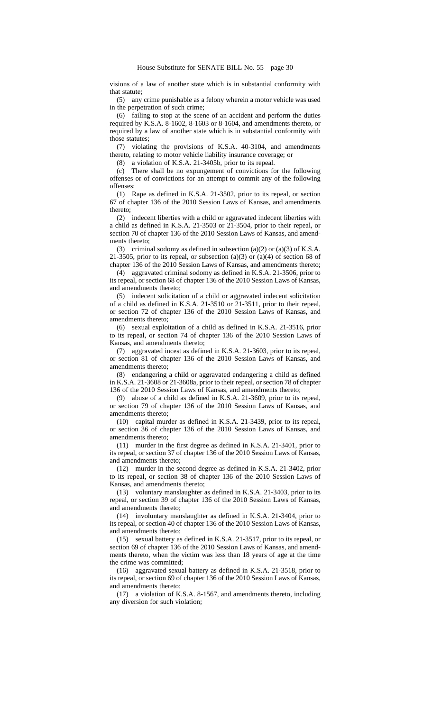visions of a law of another state which is in substantial conformity with that statute;

(5) any crime punishable as a felony wherein a motor vehicle was used in the perpetration of such crime;

(6) failing to stop at the scene of an accident and perform the duties required by K.S.A. 8-1602, 8-1603 or 8-1604, and amendments thereto, or required by a law of another state which is in substantial conformity with those statutes;

(7) violating the provisions of K.S.A. 40-3104, and amendments thereto, relating to motor vehicle liability insurance coverage; or

(8) a violation of K.S.A. 21-3405b, prior to its repeal.

(c) There shall be no expungement of convictions for the following offenses or of convictions for an attempt to commit any of the following offenses:

(1) Rape as defined in K.S.A. 21-3502, prior to its repeal, or section 67 of chapter 136 of the 2010 Session Laws of Kansas, and amendments thereto;

(2) indecent liberties with a child or aggravated indecent liberties with a child as defined in K.S.A. 21-3503 or 21-3504, prior to their repeal, or section 70 of chapter 136 of the 2010 Session Laws of Kansas, and amendments thereto;

(3) criminal sodomy as defined in subsection (a)(2) or (a)(3) of K.S.A. 21-3505, prior to its repeal, or subsection (a)(3) or (a)(4) of section 68 of chapter 136 of the 2010 Session Laws of Kansas, and amendments thereto;

(4) aggravated criminal sodomy as defined in K.S.A. 21-3506, prior to its repeal, or section 68 of chapter 136 of the 2010 Session Laws of Kansas, and amendments thereto;

(5) indecent solicitation of a child or aggravated indecent solicitation of a child as defined in K.S.A. 21-3510 or 21-3511, prior to their repeal, or section 72 of chapter 136 of the 2010 Session Laws of Kansas, and amendments thereto;

(6) sexual exploitation of a child as defined in K.S.A. 21-3516, prior to its repeal, or section 74 of chapter 136 of the 2010 Session Laws of Kansas, and amendments thereto;

(7) aggravated incest as defined in K.S.A. 21-3603, prior to its repeal, or section 81 of chapter 136 of the 2010 Session Laws of Kansas, and amendments thereto;

(8) endangering a child or aggravated endangering a child as defined in K.S.A. 21-3608 or 21-3608a, prior to their repeal, or section 78 of chapter 136 of the 2010 Session Laws of Kansas, and amendments thereto;

(9) abuse of a child as defined in K.S.A. 21-3609, prior to its repeal, or section 79 of chapter 136 of the 2010 Session Laws of Kansas, and amendments thereto;

(10) capital murder as defined in K.S.A. 21-3439, prior to its repeal, or section 36 of chapter 136 of the 2010 Session Laws of Kansas, and amendments thereto;

(11) murder in the first degree as defined in K.S.A. 21-3401, prior to its repeal, or section 37 of chapter 136 of the 2010 Session Laws of Kansas, and amendments thereto;

(12) murder in the second degree as defined in K.S.A. 21-3402, prior to its repeal, or section 38 of chapter 136 of the 2010 Session Laws of Kansas, and amendments thereto;

(13) voluntary manslaughter as defined in K.S.A. 21-3403, prior to its repeal, or section 39 of chapter 136 of the 2010 Session Laws of Kansas, and amendments thereto;

(14) involuntary manslaughter as defined in K.S.A. 21-3404, prior to its repeal, or section 40 of chapter 136 of the 2010 Session Laws of Kansas, and amendments thereto;

(15) sexual battery as defined in K.S.A. 21-3517, prior to its repeal, or section 69 of chapter 136 of the 2010 Session Laws of Kansas, and amendments thereto, when the victim was less than 18 years of age at the time the crime was committed;

(16) aggravated sexual battery as defined in K.S.A. 21-3518, prior to its repeal, or section 69 of chapter 136 of the 2010 Session Laws of Kansas, and amendments thereto;

(17) a violation of K.S.A. 8-1567, and amendments thereto, including any diversion for such violation;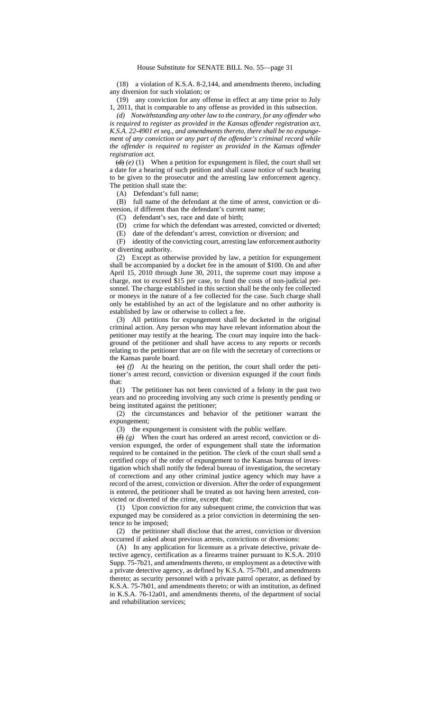(18) a violation of K.S.A. 8-2,144, and amendments thereto, including any diversion for such violation; or

(19) any conviction for any offense in effect at any time prior to July 1, 2011, that is comparable to any offense as provided in this subsection.

*(d) Notwithstanding any other law to the contrary, for any offender who is required to register as provided in the Kansas offender registration act, K.S.A. 22-4901 et seq., and amendments thereto, there shall be no expungement of any conviction or any part of the offender's criminal record while the offender is required to register as provided in the Kansas offender registration act.*

 $(d)$  *(e)* (1) When a petition for expungement is filed, the court shall set a date for a hearing of such petition and shall cause notice of such hearing to be given to the prosecutor and the arresting law enforcement agency. The petition shall state the:

(A) Defendant's full name;

(B) full name of the defendant at the time of arrest, conviction or diversion, if different than the defendant's current name;

(C) defendant's sex, race and date of birth;

(D) crime for which the defendant was arrested, convicted or diverted;

(E) date of the defendant's arrest, conviction or diversion; and (F) identity of the convicting court, arresting law enforcement authority or diverting authority.

(2) Except as otherwise provided by law, a petition for expungement shall be accompanied by a docket fee in the amount of \$100. On and after April 15, 2010 through June 30, 2011, the supreme court may impose a charge, not to exceed \$15 per case, to fund the costs of non-judicial personnel. The charge established in this section shall be the only fee collected or moneys in the nature of a fee collected for the case. Such charge shall only be established by an act of the legislature and no other authority is established by law or otherwise to collect a fee.

(3) All petitions for expungement shall be docketed in the original criminal action. Any person who may have relevant information about the petitioner may testify at the hearing. The court may inquire into the background of the petitioner and shall have access to any reports or records relating to the petitioner that are on file with the secretary of corrections or the Kansas parole board.

(e) *(f)* At the hearing on the petition, the court shall order the petitioner's arrest record, conviction or diversion expunged if the court finds that:

(1) The petitioner has not been convicted of a felony in the past two years and no proceeding involving any such crime is presently pending or being instituted against the petitioner;

(2) the circumstances and behavior of the petitioner warrant the expungement;

(3) the expungement is consistent with the public welfare.

(f) *(g)* When the court has ordered an arrest record, conviction or diversion expunged, the order of expungement shall state the information required to be contained in the petition. The clerk of the court shall send a certified copy of the order of expungement to the Kansas bureau of investigation which shall notify the federal bureau of investigation, the secretary of corrections and any other criminal justice agency which may have a record of the arrest, conviction or diversion. After the order of expungement is entered, the petitioner shall be treated as not having been arrested, convicted or diverted of the crime, except that:

(1) Upon conviction for any subsequent crime, the conviction that was expunged may be considered as a prior conviction in determining the sentence to be imposed;

(2) the petitioner shall disclose that the arrest, conviction or diversion occurred if asked about previous arrests, convictions or diversions:

(A) In any application for licensure as a private detective, private detective agency, certification as a firearms trainer pursuant to K.S.A. 2010 Supp. 75-7b21, and amendments thereto, or employment as a detective with a private detective agency, as defined by K.S.A. 75-7b01, and amendments thereto; as security personnel with a private patrol operator, as defined by K.S.A. 75-7b01, and amendments thereto; or with an institution, as defined in K.S.A. 76-12a01, and amendments thereto, of the department of social and rehabilitation services;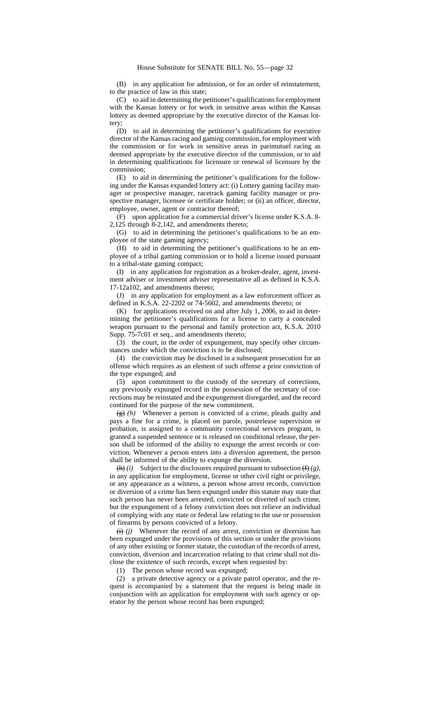(B) in any application for admission, or for an order of reinstatement, to the practice of law in this state;

(C) to aid in determining the petitioner's qualifications for employment with the Kansas lottery or for work in sensitive areas within the Kansas lottery as deemed appropriate by the executive director of the Kansas lottery;  $(D)$ 

to aid in determining the petitioner's qualifications for executive director of the Kansas racing and gaming commission, for employment with the commission or for work in sensitive areas in parimutuel racing as deemed appropriate by the executive director of the commission, or to aid in determining qualifications for licensure or renewal of licensure by the commission;

(E) to aid in determining the petitioner's qualifications for the following under the Kansas expanded lottery act: (i) Lottery gaming facility manager or prospective manager, racetrack gaming facility manager or prospective manager, licensee or certificate holder; or (ii) an officer, director, employee, owner, agent or contractor thereof;

(F) upon application for a commercial driver's license under K.S.A. 8- 2,125 through 8-2,142, and amendments thereto;

(G) to aid in determining the petitioner's qualifications to be an employee of the state gaming agency;

(H) to aid in determining the petitioner's qualifications to be an employee of a tribal gaming commission or to hold a license issued pursuant to a tribal-state gaming compact;

(I) in any application for registration as a broker-dealer, agent, investment adviser or investment adviser representative all as defined in K.S.A. 17-12a102, and amendments thereto;

(J) in any application for employment as a law enforcement officer as defined in K.S.A. 22-2202 or 74-5602, and amendments thereto; or

(K) for applications received on and after July 1, 2006, to aid in determining the petitioner's qualifications for a license to carry a concealed weapon pursuant to the personal and family protection act, K.S.A. 2010 Supp. 75-7c01 et seq., and amendments thereto;

(3) the court, in the order of expungement, may specify other circumstances under which the conviction is to be disclosed;

(4) the conviction may be disclosed in a subsequent prosecution for an offense which requires as an element of such offense a prior conviction of the type expunged; and

(5) upon commitment to the custody of the secretary of corrections, any previously expunged record in the possession of the secretary of corrections may be reinstated and the expungement disregarded, and the record continued for the purpose of the new commitment.

(g) *(h)* Whenever a person is convicted of a crime, pleads guilty and pays a fine for a crime, is placed on parole, postrelease supervision or probation, is assigned to a community correctional services program, is granted a suspended sentence or is released on conditional release, the person shall be informed of the ability to expunge the arrest records or conviction. Whenever a person enters into a diversion agreement, the person shall be informed of the ability to expunge the diversion.

 $\overline{h}(i)$  Subject to the disclosures required pursuant to subsection  $\overline{f}(g)$ , in any application for employment, license or other civil right or privilege, or any appearance as a witness, a person whose arrest records, conviction or diversion of a crime has been expunged under this statute may state that such person has never been arrested, convicted or diverted of such crime, but the expungement of a felony conviction does not relieve an individual of complying with any state or federal law relating to the use or possession of firearms by persons convicted of a felony.

 $(i)$  *(i)* Whenever the record of any arrest, conviction or diversion has been expunged under the provisions of this section or under the provisions of any other existing or former statute, the custodian of the records of arrest, conviction, diversion and incarceration relating to that crime shall not disclose the existence of such records, except when requested by:

(1) The person whose record was expunged;

(2) a private detective agency or a private patrol operator, and the request is accompanied by a statement that the request is being made in conjunction with an application for employment with such agency or operator by the person whose record has been expunged;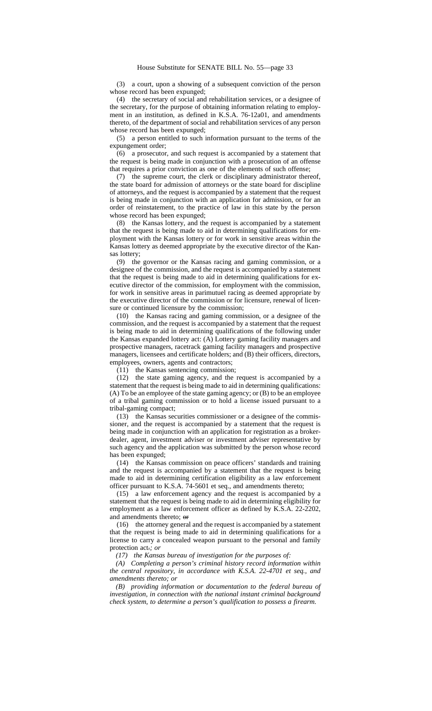(3) a court, upon a showing of a subsequent conviction of the person whose record has been expunged;

(4) the secretary of social and rehabilitation services, or a designee of the secretary, for the purpose of obtaining information relating to employment in an institution, as defined in K.S.A. 76-12a01, and amendments thereto, of the department of social and rehabilitation services of any person whose record has been expunged;

(5) a person entitled to such information pursuant to the terms of the expungement order;

(6) a prosecutor, and such request is accompanied by a statement that the request is being made in conjunction with a prosecution of an offense that requires a prior conviction as one of the elements of such offense;

(7) the supreme court, the clerk or disciplinary administrator thereof, the state board for admission of attorneys or the state board for discipline of attorneys, and the request is accompanied by a statement that the request is being made in conjunction with an application for admission, or for an order of reinstatement, to the practice of law in this state by the person whose record has been expunged;

(8) the Kansas lottery, and the request is accompanied by a statement that the request is being made to aid in determining qualifications for employment with the Kansas lottery or for work in sensitive areas within the Kansas lottery as deemed appropriate by the executive director of the Kansas lottery;

(9) the governor or the Kansas racing and gaming commission, or a designee of the commission, and the request is accompanied by a statement that the request is being made to aid in determining qualifications for executive director of the commission, for employment with the commission, for work in sensitive areas in parimutuel racing as deemed appropriate by the executive director of the commission or for licensure, renewal of licensure or continued licensure by the commission;

(10) the Kansas racing and gaming commission, or a designee of the commission, and the request is accompanied by a statement that the request is being made to aid in determining qualifications of the following under the Kansas expanded lottery act: (A) Lottery gaming facility managers and prospective managers, racetrack gaming facility managers and prospective managers, licensees and certificate holders; and (B) their officers, directors, employees, owners, agents and contractors;

(11) the Kansas sentencing commission;

(12) the state gaming agency, and the request is accompanied by a statement that the request is being made to aid in determining qualifications: (A) To be an employee of the state gaming agency; or (B) to be an employee of a tribal gaming commission or to hold a license issued pursuant to a tribal-gaming compact;

(13) the Kansas securities commissioner or a designee of the commissioner, and the request is accompanied by a statement that the request is being made in conjunction with an application for registration as a brokerdealer, agent, investment adviser or investment adviser representative by such agency and the application was submitted by the person whose record has been expunged;

(14) the Kansas commission on peace officers' standards and training and the request is accompanied by a statement that the request is being made to aid in determining certification eligibility as a law enforcement officer pursuant to K.S.A. 74-5601 et seq., and amendments thereto;

(15) a law enforcement agency and the request is accompanied by a statement that the request is being made to aid in determining eligibility for employment as a law enforcement officer as defined by K.S.A. 22-2202, and amendments thereto; or

(16) the attorney general and the request is accompanied by a statement that the request is being made to aid in determining qualifications for a license to carry a concealed weapon pursuant to the personal and family protection act.*; or*

*(17) the Kansas bureau of investigation for the purposes of:*

*(A) Completing a person's criminal history record information within the central repository, in accordance with K.S.A. 22-4701 et seq., and amendments thereto; or*

*(B) providing information or documentation to the federal bureau of investigation, in connection with the national instant criminal background check system, to determine a person's qualification to possess a firearm.*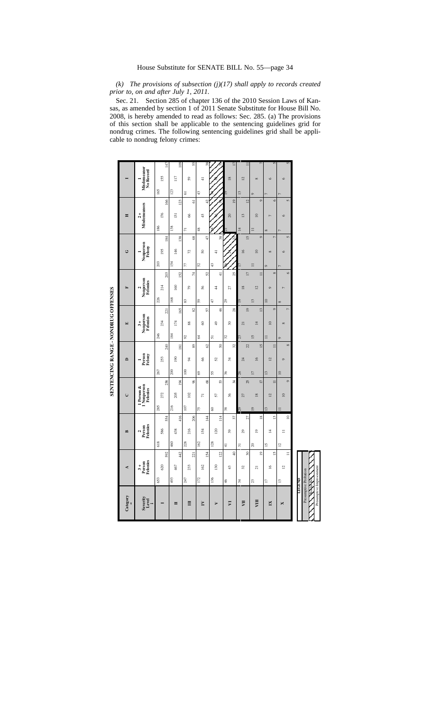*(k) The provisions of subsection (j)(17) shall apply to records created prior to, on and after July 1, 2011.*

Sec. 21. Section 285 of chapter 136 of the 2010 Session Laws of Kansas, as amended by section 1 of 2011 Senate Substitute for House Bill No. 2008, is hereby amended to read as follows: Sec. 285. (a) The provisions of this section shall be applicable to the sentencing guidelines grid for nondrug crimes. The following sentencing guidelines grid shall be applicable to nondrug felony crimes:

| Category          | 4                                                                                     |                 |                | $\mathbf{r}$          |                                   | $\mathsf{C}$                          |                 |                 | $\mathbf{a}$        |                                | $\begin{array}{c} \hline \end{array}$ |                 |                           | $\mathbf{r}$          |                 |          | Ü                                |                | Ξ                |                 |      |                                   |
|-------------------|---------------------------------------------------------------------------------------|-----------------|----------------|-----------------------|-----------------------------------|---------------------------------------|-----------------|-----------------|---------------------|--------------------------------|---------------------------------------|-----------------|---------------------------|-----------------------|-----------------|----------|----------------------------------|----------------|------------------|-----------------|------|-----------------------------------|
| Severity<br>Level | $3 +$<br>Person<br>Felonies                                                           |                 |                | Person<br>Felonies    |                                   | 1 Person &<br>1 Nomperson<br>Felonies |                 |                 | Person<br>Felony    |                                | Nonperson<br>Felonies<br>$\ddot{3}$ + |                 |                           | Nonperson<br>Felonies |                 |          | Nonperson<br>Felony              |                | Misdemeanors     |                 |      | Misdemeanor<br>No Record          |
|                   | 620<br>653                                                                            | 592             | 618            | 554<br>586            | 285                               | 272                                   | 258             | 267             | 240<br>253          | 246                            | 234                                   | 221             | 226                       | 214                   | 203             | 203      | 184<br>195                       | 186            | 176              | 166             | 165  | 147<br>155                        |
| $\blacksquare$    | 467<br>493                                                                            | 42              | 460            | 416<br>438            | 216                               | 205                                   | 194             | 200             | $18\sqrt{1}$<br>190 | 184                            | 174                                   | 165             | 168                       | 160                   | 152             | 154      | 138<br>146                       | 138            | $\overline{131}$ | 123             | 123  | 109<br>$\overline{117}$           |
| Ħ                 | 233<br>247                                                                            | 221             | 228            | 206<br>216            | $107\,$                           | 102                                   | 96              | 100             | 34                  | 85<br>89                       | 88                                    | 82              | $\boldsymbol{\mathbb{S}}$ | 56                    | $\sharp$        | 77       | $\frac{8}{2}$<br>72              | $\overline{z}$ | 66               | $\overline{5}$  | 5    | 55<br>59                          |
| $\mathbf{N}$      | 162<br>172                                                                            | 154             | 162            | $\overline{4}$<br>154 | 75                                | $\overline{r}$                        | 68              | $\mathcal{S}^3$ | 8                   | 2<br>62                        | 8                                     | 57              | 59                        | 56                    | 52              | 25       | 47<br>$\overline{50}$            | 48             | $45 \space$      | 42              | $43$ | 38<br>$\frac{1}{4}$               |
| $\triangleright$  | 130<br>136                                                                            | 122             | 128            | 114<br>120            | $^{\circ}$                        | 57                                    | 53              | 55              | 25                  | 51<br>50                       | $\frac{6}{7}$                         | 46              | $\ddot{t}$                | 4                     | $\frac{1}{4}$   | 43       | 38 <sup>1</sup><br>$\frac{1}{4}$ |                |                  |                 |      |                                   |
| $\nabla$          | 43<br>$\frac{4}{6}$                                                                   | $\overline{a}$  | $\frac{4}{3}$  | $\overline{39}$       | $38\,$<br>37                      | 36                                    | 34              | 96              | $\frac{4}{3}$       | 32<br>32                       | $\boldsymbol{30}$                     | 28              | 29                        | 27                    | 25              |          |                                  |                | 20               | $\overline{19}$ |      | 17<br>$\overline{18}$             |
| Ę                 | $\mathfrak{L}$<br>$\frac{4}{3}$                                                       | $\overline{30}$ | $\Xi$          | 27<br>29              | 67                                | 27                                    | 26<br>25        |                 | $\overline{a}$      | 52<br>22                       | $\overline{21}$                       | $\overline{19}$ | $\overline{6}$            | $^{18}$               | $\overline{17}$ |          | 15<br>$\overline{16}$            | $\overline{4}$ | 13               | $\overline{12}$ | 13   | $\overline{1}$<br>$\overline{12}$ |
| VШ                | $\overline{z}$<br>23                                                                  | $\overline{9}$  | $\approx$      | $\overline{0}$        | $\overline{19}$<br>$\frac{8}{16}$ | $^{18}$                               | $\overline{17}$ | $\overline{17}$ | $\overline{16}$     | $\tilde{5}$<br>$\overline{15}$ | $\overline{14}$                       | $\frac{3}{2}$   | 13                        | 12                    | $\equiv$        | $\equiv$ | $\circ$<br>$\overline{10}$       | $\equiv$       | $\overline{10}$  | $\circ$         |      | $^{\circ}$                        |
| $\mathbb{I}$      | $\tilde{=}$<br>$\overline{1}$                                                         | $\overline{15}$ | $\overline{2}$ | 4                     | $\overline{3}$<br>$\tilde{c}$     | $\overline{2}$                        | $\equiv$        | 13              | $\overline{2}$      | $\equiv$<br>$\equiv$           | $\overline{10}$                       | $\circ$         | $\overline{10}$           | $\circ$               | $\infty$        | ō        | $\overline{C}$<br>$\infty$       | $\infty$       | $\overline{ }$   | $\circ$         |      | 5<br>$\circ$                      |
| ×                 | 12<br>$\mathbf{r}$                                                                    | $\equiv$        | $\overline{c}$ | $\equiv$              | $\supseteq$                       | $\overline{10}$                       | $\circ$         | $\overline{10}$ | $\circ$             | $\circ$<br>$\infty$            | $^{\circ}$                            | $\overline{r}$  | $\infty$                  | è                     | $\circ$         |          | $\overline{5}$<br>$\circ$        |                | $\circ$          | $\tilde{S}$     |      | 5<br>$\circ$                      |
|                   | Presumptive Imprisonment<br>Presumptive Probation<br><b>Roberton</b><br><b>TEGEND</b> |                 |                |                       |                                   |                                       |                 |                 |                     |                                |                                       |                 |                           |                       |                 |          |                                  |                |                  |                 |      |                                   |

SENTENCING RANGE - NONDRUG OFFENSES **SENTENCING RANGE - NONDRUG OFFENSES**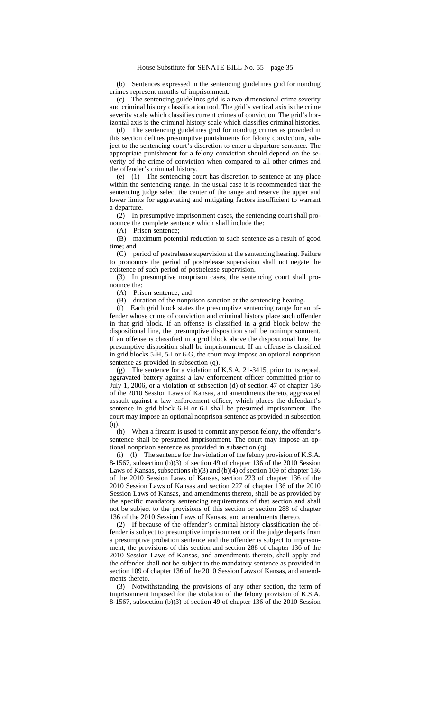(b) Sentences expressed in the sentencing guidelines grid for nondrug crimes represent months of imprisonment.

(c) The sentencing guidelines grid is a two-dimensional crime severity and criminal history classification tool. The grid's vertical axis is the crime severity scale which classifies current crimes of conviction. The grid's horizontal axis is the criminal history scale which classifies criminal histories.

(d) The sentencing guidelines grid for nondrug crimes as provided in this section defines presumptive punishments for felony convictions, subject to the sentencing court's discretion to enter a departure sentence. The appropriate punishment for a felony conviction should depend on the severity of the crime of conviction when compared to all other crimes and the offender's criminal history.

(e) (1) The sentencing court has discretion to sentence at any place within the sentencing range. In the usual case it is recommended that the sentencing judge select the center of the range and reserve the upper and lower limits for aggravating and mitigating factors insufficient to warrant a departure.

(2) In presumptive imprisonment cases, the sentencing court shall pronounce the complete sentence which shall include the:

(A) Prison sentence;

(B) maximum potential reduction to such sentence as a result of good time; and

(C) period of postrelease supervision at the sentencing hearing. Failure to pronounce the period of postrelease supervision shall not negate the existence of such period of postrelease supervision.

(3) In presumptive nonprison cases, the sentencing court shall pronounce the:

(A) Prison sentence; and

(B) duration of the nonprison sanction at the sentencing hearing.

(f) Each grid block states the presumptive sentencing range for an offender whose crime of conviction and criminal history place such offender in that grid block. If an offense is classified in a grid block below the dispositional line, the presumptive disposition shall be nonimprisonment. If an offense is classified in a grid block above the dispositional line, the presumptive disposition shall be imprisonment. If an offense is classified in grid blocks 5-H, 5-I or 6-G, the court may impose an optional nonprison sentence as provided in subsection (q).

(g) The sentence for a violation of K.S.A. 21-3415, prior to its repeal, aggravated battery against a law enforcement officer committed prior to July 1, 2006, or a violation of subsection (d) of section 47 of chapter 136 of the 2010 Session Laws of Kansas, and amendments thereto, aggravated assault against a law enforcement officer, which places the defendant's sentence in grid block 6-H or 6-I shall be presumed imprisonment. The court may impose an optional nonprison sentence as provided in subsection (q).

(h) When a firearm is used to commit any person felony, the offender's sentence shall be presumed imprisonment. The court may impose an optional nonprison sentence as provided in subsection (q).

(i) (l) The sentence for the violation of the felony provision of K.S.A. 8-1567, subsection (b)(3) of section 49 of chapter 136 of the 2010 Session Laws of Kansas, subsections (b)(3) and (b)(4) of section 109 of chapter 136 of the 2010 Session Laws of Kansas, section 223 of chapter 136 of the 2010 Session Laws of Kansas and section 227 of chapter 136 of the 2010 Session Laws of Kansas, and amendments thereto, shall be as provided by the specific mandatory sentencing requirements of that section and shall not be subject to the provisions of this section or section 288 of chapter 136 of the 2010 Session Laws of Kansas, and amendments thereto.

(2) If because of the offender's criminal history classification the offender is subject to presumptive imprisonment or if the judge departs from a presumptive probation sentence and the offender is subject to imprisonment, the provisions of this section and section 288 of chapter 136 of the 2010 Session Laws of Kansas, and amendments thereto, shall apply and the offender shall not be subject to the mandatory sentence as provided in section 109 of chapter 136 of the 2010 Session Laws of Kansas, and amendments thereto.

(3) Notwithstanding the provisions of any other section, the term of imprisonment imposed for the violation of the felony provision of K.S.A. 8-1567, subsection (b)(3) of section 49 of chapter 136 of the 2010 Session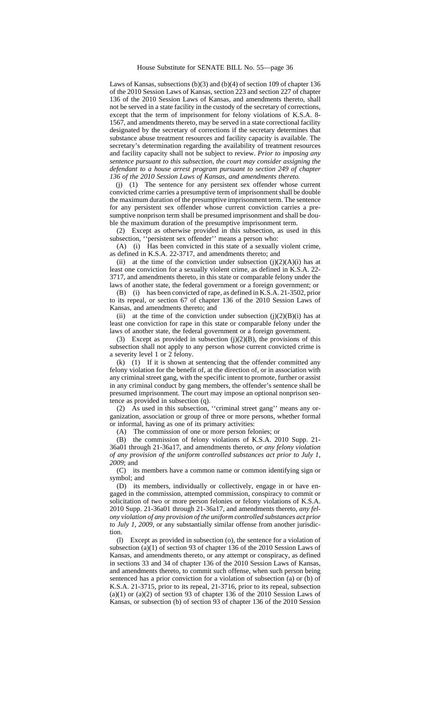Laws of Kansas, subsections (b)(3) and (b)(4) of section 109 of chapter 136 of the 2010 Session Laws of Kansas, section 223 and section 227 of chapter 136 of the 2010 Session Laws of Kansas, and amendments thereto, shall not be served in a state facility in the custody of the secretary of corrections, except that the term of imprisonment for felony violations of K.S.A. 8- 1567, and amendments thereto, may be served in a state correctional facility designated by the secretary of corrections if the secretary determines that substance abuse treatment resources and facility capacity is available. The secretary's determination regarding the availability of treatment resources and facility capacity shall not be subject to review. *Prior to imposing any sentence pursuant to this subsection, the court may consider assigning the defendant to a house arrest program pursuant to section 249 of chapter 136 of the 2010 Session Laws of Kansas, and amendments thereto.*

(j) (1) The sentence for any persistent sex offender whose current convicted crime carries a presumptive term of imprisonment shall be double the maximum duration of the presumptive imprisonment term. The sentence for any persistent sex offender whose current conviction carries a presumptive nonprison term shall be presumed imprisonment and shall be double the maximum duration of the presumptive imprisonment term.

(2) Except as otherwise provided in this subsection, as used in this subsection, ''persistent sex offender'' means a person who:

(A) (i) Has been convicted in this state of a sexually violent crime, as defined in K.S.A. 22-3717, and amendments thereto; and

(ii) at the time of the conviction under subsection  $(j)(2)(A)(i)$  has at least one conviction for a sexually violent crime, as defined in K.S.A. 22- 3717, and amendments thereto, in this state or comparable felony under the laws of another state, the federal government or a foreign government; or

(B) (i) has been convicted of rape, as defined in K.S.A. 21-3502, prior to its repeal, or section 67 of chapter 136 of the 2010 Session Laws of Kansas, and amendments thereto; and

(ii) at the time of the conviction under subsection (i)(2)(B)(i) has at least one conviction for rape in this state or comparable felony under the laws of another state, the federal government or a foreign government.

(3) Except as provided in subsection (j)(2)(B), the provisions of this subsection shall not apply to any person whose current convicted crime is a severity level 1 or 2 felony.

(k) (1) If it is shown at sentencing that the offender committed any felony violation for the benefit of, at the direction of, or in association with any criminal street gang, with the specific intent to promote, further or assist in any criminal conduct by gang members, the offender's sentence shall be presumed imprisonment. The court may impose an optional nonprison sentence as provided in subsection (q).

(2) As used in this subsection, ''criminal street gang'' means any organization, association or group of three or more persons, whether formal or informal, having as one of its primary activities:

(A) The commission of one or more person felonies; or

(B) the commission of felony violations of K.S.A. 2010 Supp. 21- 36a01 through 21-36a17, and amendments thereto*, or any felony violation of any provision of the uniform controlled substances act prior to July 1, 2009*; and

(C) its members have a common name or common identifying sign or symbol; and

(D) its members, individually or collectively, engage in or have engaged in the commission, attempted commission, conspiracy to commit or solicitation of two or more person felonies or felony violations of K.S.A. 2010 Supp. 21-36a01 through 21-36a17, and amendments thereto, *any felony violation of any provision of the uniform controlled substances act prior to July 1, 2009,* or any substantially similar offense from another jurisdiction.

(l) Except as provided in subsection (o), the sentence for a violation of subsection (a)(1) of section 93 of chapter 136 of the 2010 Session Laws of Kansas, and amendments thereto, or any attempt or conspiracy, as defined in sections 33 and 34 of chapter 136 of the 2010 Session Laws of Kansas, and amendments thereto, to commit such offense, when such person being sentenced has a prior conviction for a violation of subsection (a) or (b) of K.S.A. 21-3715, prior to its repeal, 21-3716, prior to its repeal, subsection  $(a)(1)$  or  $(a)(2)$  of section 93 of chapter 136 of the 2010 Session Laws of Kansas, or subsection (b) of section 93 of chapter 136 of the 2010 Session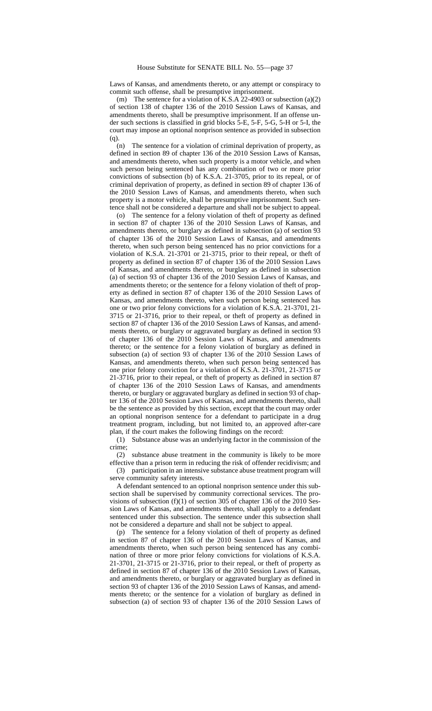Laws of Kansas, and amendments thereto, or any attempt or conspiracy to commit such offense, shall be presumptive imprisonment.

(m) The sentence for a violation of K.S.A 22-4903 or subsection (a)(2) of section 138 of chapter 136 of the 2010 Session Laws of Kansas, and amendments thereto, shall be presumptive imprisonment. If an offense under such sections is classified in grid blocks 5-E, 5-F, 5-G, 5-H or 5-I, the court may impose an optional nonprison sentence as provided in subsection (q).

(n) The sentence for a violation of criminal deprivation of property, as defined in section 89 of chapter 136 of the 2010 Session Laws of Kansas, and amendments thereto, when such property is a motor vehicle, and when such person being sentenced has any combination of two or more prior convictions of subsection (b) of K.S.A. 21-3705, prior to its repeal, or of criminal deprivation of property, as defined in section 89 of chapter 136 of the 2010 Session Laws of Kansas, and amendments thereto, when such property is a motor vehicle, shall be presumptive imprisonment. Such sentence shall not be considered a departure and shall not be subject to appeal.

(o) The sentence for a felony violation of theft of property as defined in section 87 of chapter 136 of the 2010 Session Laws of Kansas, and amendments thereto, or burglary as defined in subsection (a) of section 93 of chapter 136 of the 2010 Session Laws of Kansas, and amendments thereto, when such person being sentenced has no prior convictions for a violation of K.S.A. 21-3701 or 21-3715, prior to their repeal, or theft of property as defined in section 87 of chapter 136 of the 2010 Session Laws of Kansas, and amendments thereto, or burglary as defined in subsection (a) of section 93 of chapter 136 of the 2010 Session Laws of Kansas, and amendments thereto; or the sentence for a felony violation of theft of property as defined in section 87 of chapter 136 of the 2010 Session Laws of Kansas, and amendments thereto, when such person being sentenced has one or two prior felony convictions for a violation of K.S.A. 21-3701, 21- 3715 or 21-3716, prior to their repeal, or theft of property as defined in section 87 of chapter 136 of the 2010 Session Laws of Kansas, and amendments thereto, or burglary or aggravated burglary as defined in section 93 of chapter 136 of the 2010 Session Laws of Kansas, and amendments thereto; or the sentence for a felony violation of burglary as defined in subsection (a) of section 93 of chapter 136 of the 2010 Session Laws of Kansas, and amendments thereto, when such person being sentenced has one prior felony conviction for a violation of K.S.A. 21-3701, 21-3715 or 21-3716, prior to their repeal, or theft of property as defined in section 87 of chapter 136 of the 2010 Session Laws of Kansas, and amendments thereto, or burglary or aggravated burglary as defined in section 93 of chapter 136 of the 2010 Session Laws of Kansas, and amendments thereto, shall be the sentence as provided by this section, except that the court may order an optional nonprison sentence for a defendant to participate in a drug treatment program, including, but not limited to, an approved after-care plan, if the court makes the following findings on the record:

(1) Substance abuse was an underlying factor in the commission of the crime;

(2) substance abuse treatment in the community is likely to be more effective than a prison term in reducing the risk of offender recidivism; and

(3) participation in an intensive substance abuse treatment program will serve community safety interests.

A defendant sentenced to an optional nonprison sentence under this subsection shall be supervised by community correctional services. The provisions of subsection  $(f)(1)$  of section 305 of chapter 136 of the 2010 Session Laws of Kansas, and amendments thereto, shall apply to a defendant sentenced under this subsection. The sentence under this subsection shall not be considered a departure and shall not be subject to appeal.

(p) The sentence for a felony violation of theft of property as defined in section 87 of chapter 136 of the 2010 Session Laws of Kansas, and amendments thereto, when such person being sentenced has any combination of three or more prior felony convictions for violations of K.S.A. 21-3701, 21-3715 or 21-3716, prior to their repeal, or theft of property as defined in section 87 of chapter 136 of the 2010 Session Laws of Kansas, and amendments thereto, or burglary or aggravated burglary as defined in section 93 of chapter 136 of the 2010 Session Laws of Kansas, and amendments thereto; or the sentence for a violation of burglary as defined in subsection (a) of section 93 of chapter 136 of the 2010 Session Laws of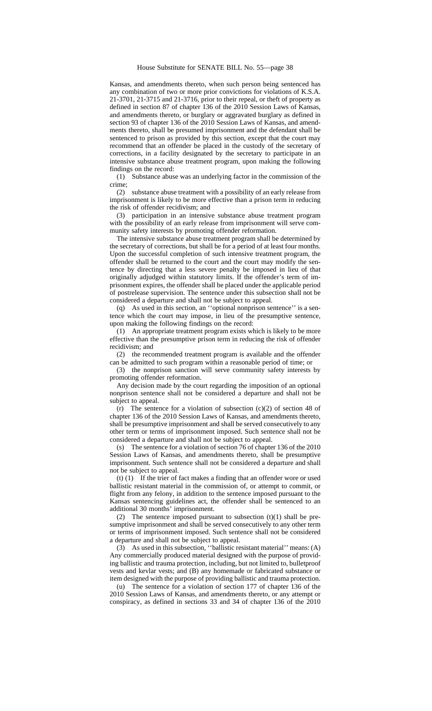Kansas, and amendments thereto, when such person being sentenced has any combination of two or more prior convictions for violations of K.S.A. 21-3701, 21-3715 and 21-3716, prior to their repeal, or theft of property as defined in section 87 of chapter 136 of the 2010 Session Laws of Kansas, and amendments thereto, or burglary or aggravated burglary as defined in section 93 of chapter 136 of the 2010 Session Laws of Kansas, and amendments thereto, shall be presumed imprisonment and the defendant shall be sentenced to prison as provided by this section, except that the court may recommend that an offender be placed in the custody of the secretary of corrections, in a facility designated by the secretary to participate in an intensive substance abuse treatment program, upon making the following findings on the record:

(1) Substance abuse was an underlying factor in the commission of the crime;

(2) substance abuse treatment with a possibility of an early release from imprisonment is likely to be more effective than a prison term in reducing the risk of offender recidivism; and

(3) participation in an intensive substance abuse treatment program with the possibility of an early release from imprisonment will serve community safety interests by promoting offender reformation.

The intensive substance abuse treatment program shall be determined by the secretary of corrections, but shall be for a period of at least four months. Upon the successful completion of such intensive treatment program, the offender shall be returned to the court and the court may modify the sentence by directing that a less severe penalty be imposed in lieu of that originally adjudged within statutory limits. If the offender's term of imprisonment expires, the offender shall be placed under the applicable period of postrelease supervision. The sentence under this subsection shall not be considered a departure and shall not be subject to appeal.

(q) As used in this section, an ''optional nonprison sentence'' is a sentence which the court may impose, in lieu of the presumptive sentence, upon making the following findings on the record:

(1) An appropriate treatment program exists which is likely to be more effective than the presumptive prison term in reducing the risk of offender recidivism; and

(2) the recommended treatment program is available and the offender can be admitted to such program within a reasonable period of time; or

(3) the nonprison sanction will serve community safety interests by promoting offender reformation.

Any decision made by the court regarding the imposition of an optional nonprison sentence shall not be considered a departure and shall not be subject to appeal.

(r) The sentence for a violation of subsection  $(c)(2)$  of section 48 of chapter 136 of the 2010 Session Laws of Kansas, and amendments thereto, shall be presumptive imprisonment and shall be served consecutively to any other term or terms of imprisonment imposed. Such sentence shall not be considered a departure and shall not be subject to appeal.

(s) The sentence for a violation of section 76 of chapter 136 of the 2010 Session Laws of Kansas, and amendments thereto, shall be presumptive imprisonment. Such sentence shall not be considered a departure and shall not be subject to appeal.

(t) (1) If the trier of fact makes a finding that an offender wore or used ballistic resistant material in the commission of, or attempt to commit, or flight from any felony, in addition to the sentence imposed pursuant to the Kansas sentencing guidelines act, the offender shall be sentenced to an additional 30 months' imprisonment.

(2) The sentence imposed pursuant to subsection  $(t)(1)$  shall be presumptive imprisonment and shall be served consecutively to any other term or terms of imprisonment imposed. Such sentence shall not be considered a departure and shall not be subject to appeal.

(3) As used in this subsection, ''ballistic resistant material'' means: (A) Any commercially produced material designed with the purpose of providing ballistic and trauma protection, including, but not limited to, bulletproof vests and kevlar vests; and (B) any homemade or fabricated substance or item designed with the purpose of providing ballistic and trauma protection.

(u) The sentence for a violation of section 177 of chapter 136 of the 2010 Session Laws of Kansas, and amendments thereto, or any attempt or conspiracy, as defined in sections 33 and 34 of chapter 136 of the 2010